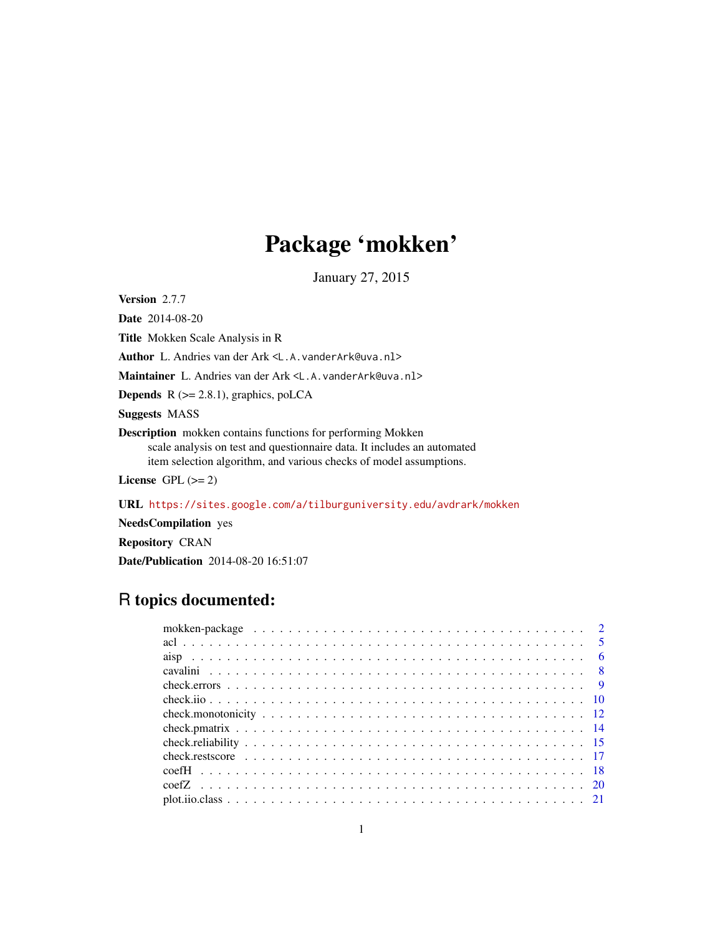# Package 'mokken'

January 27, 2015

<span id="page-0-0"></span>Version 2.7.7

Date 2014-08-20

Title Mokken Scale Analysis in R

Author L. Andries van der Ark <L.A.vanderArk@uva.nl>

Maintainer L. Andries van der Ark <L.A.vanderArk@uva.nl>

**Depends**  $R$  ( $>= 2.8.1$ ), graphics, poLCA

Suggests MASS

Description mokken contains functions for performing Mokken scale analysis on test and questionnaire data. It includes an automated item selection algorithm, and various checks of model assumptions.

License GPL  $(>= 2)$ 

URL <https://sites.google.com/a/tilburguniversity.edu/avdrark/mokken>

NeedsCompilation yes

Repository CRAN

Date/Publication 2014-08-20 16:51:07

# R topics documented: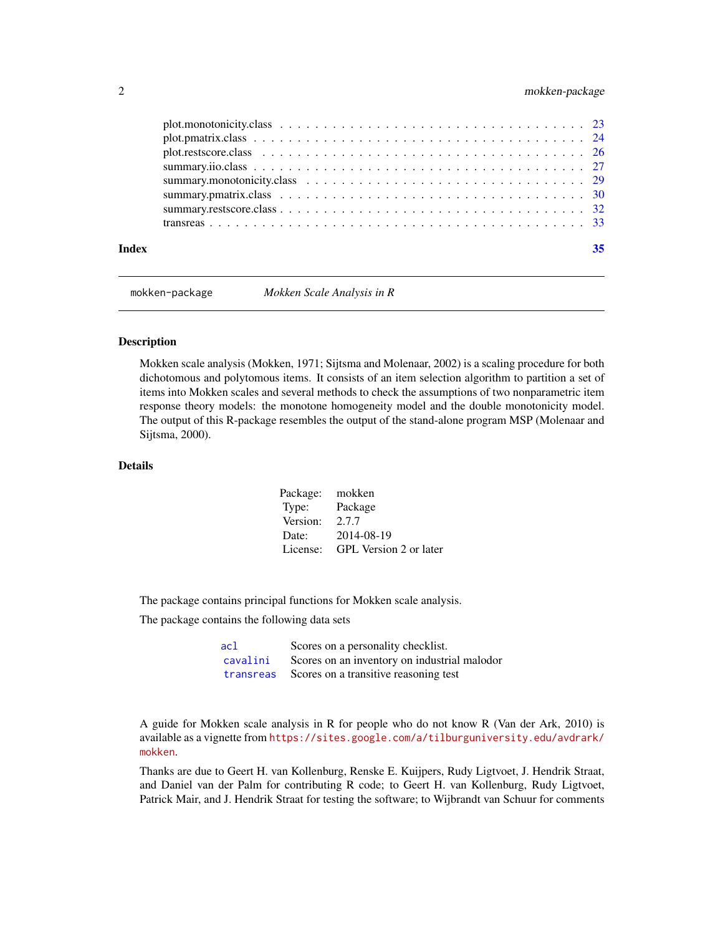<span id="page-1-0"></span>

| Index | 35 |
|-------|----|
|       |    |
|       |    |
|       |    |
|       |    |
|       |    |
|       |    |
|       |    |
|       |    |

mokken-package *Mokken Scale Analysis in R*

# <span id="page-1-1"></span>**Description**

Mokken scale analysis (Mokken, 1971; Sijtsma and Molenaar, 2002) is a scaling procedure for both dichotomous and polytomous items. It consists of an item selection algorithm to partition a set of items into Mokken scales and several methods to check the assumptions of two nonparametric item response theory models: the monotone homogeneity model and the double monotonicity model. The output of this R-package resembles the output of the stand-alone program MSP (Molenaar and Sijtsma, 2000).

# **Details**

| Package: | mokken                 |
|----------|------------------------|
| Type:    | Package                |
| Version: | 2.7.7                  |
| Date:    | 2014-08-19             |
| License: | GPL Version 2 or later |

The package contains principal functions for Mokken scale analysis.

The package contains the following data sets

| acl      | Scores on a personality checklist.              |
|----------|-------------------------------------------------|
| cavalini | Scores on an inventory on industrial malodor    |
|          | transreas Scores on a transitive reasoning test |

A guide for Mokken scale analysis in R for people who do not know R (Van der Ark, 2010) is available as a vignette from [https://sites.google.com/a/tilburguniversity.edu/avdrark/](https://sites.google.com/a/tilburguniversity.edu/avdrark/mokken) [mokken](https://sites.google.com/a/tilburguniversity.edu/avdrark/mokken).

Thanks are due to Geert H. van Kollenburg, Renske E. Kuijpers, Rudy Ligtvoet, J. Hendrik Straat, and Daniel van der Palm for contributing R code; to Geert H. van Kollenburg, Rudy Ligtvoet, Patrick Mair, and J. Hendrik Straat for testing the software; to Wijbrandt van Schuur for comments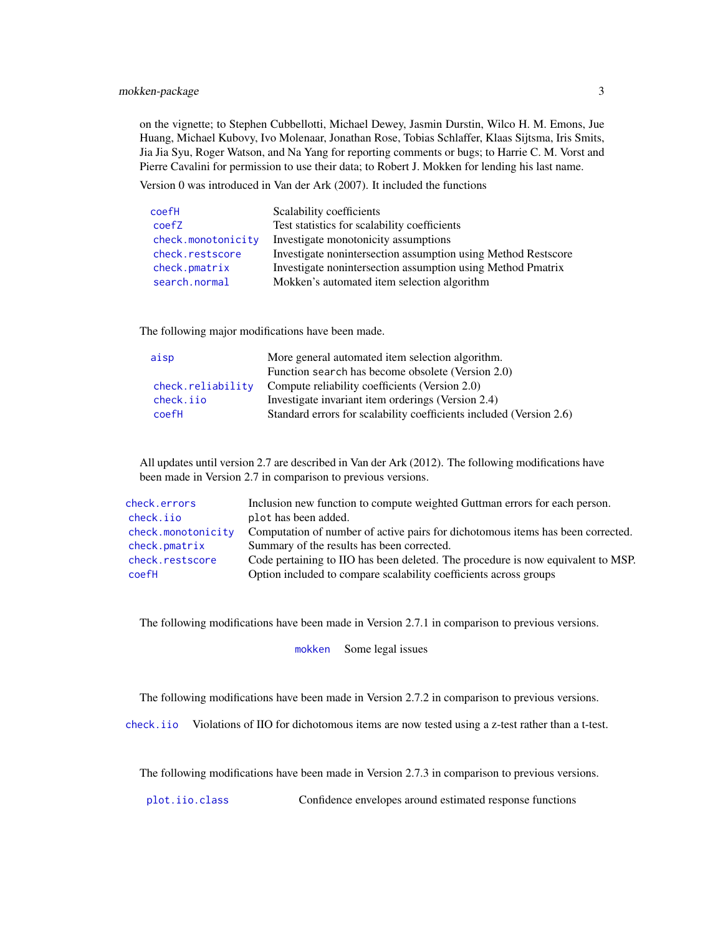<span id="page-2-0"></span>on the vignette; to Stephen Cubbellotti, Michael Dewey, Jasmin Durstin, Wilco H. M. Emons, Jue Huang, Michael Kubovy, Ivo Molenaar, Jonathan Rose, Tobias Schlaffer, Klaas Sijtsma, Iris Smits, Jia Jia Syu, Roger Watson, and Na Yang for reporting comments or bugs; to Harrie C. M. Vorst and Pierre Cavalini for permission to use their data; to Robert J. Mokken for lending his last name.

Version 0 was introduced in Van der Ark (2007). It included the functions

| coefH              | Scalability coefficients                                      |
|--------------------|---------------------------------------------------------------|
| coefZ              | Test statistics for scalability coefficients                  |
| check.monotonicity | Investigate monotonicity assumptions                          |
| check.restscore    | Investigate nonintersection assumption using Method Restscore |
| check.pmatrix      | Investigate nonintersection assumption using Method Pmatrix   |
| search.normal      | Mokken's automated item selection algorithm                   |

The following major modifications have been made.

| aisp              | More general automated item selection algorithm.                    |
|-------------------|---------------------------------------------------------------------|
|                   | Function search has become obsolete (Version 2.0)                   |
| check.reliability | Compute reliability coefficients (Version 2.0)                      |
| check.iio         | Investigate invariant item orderings (Version 2.4)                  |
| coefH             | Standard errors for scalability coefficients included (Version 2.6) |
|                   |                                                                     |

All updates until version 2.7 are described in Van der Ark (2012). The following modifications have been made in Version 2.7 in comparison to previous versions.

| check.errors       | Inclusion new function to compute weighted Guttman errors for each person.       |
|--------------------|----------------------------------------------------------------------------------|
| check.iio          | plot has been added.                                                             |
| check.monotonicity | Computation of number of active pairs for dichotomous items has been corrected.  |
| check.pmatrix      | Summary of the results has been corrected.                                       |
| check.restscore    | Code pertaining to IIO has been deleted. The procedure is now equivalent to MSP. |
| coefH              | Option included to compare scalability coefficients across groups                |

The following modifications have been made in Version 2.7.1 in comparison to previous versions.

[mokken](#page-1-1) Some legal issues

The following modifications have been made in Version 2.7.2 in comparison to previous versions.

[check.iio](#page-9-1) Violations of IIO for dichotomous items are now tested using a z-test rather than a t-test.

The following modifications have been made in Version 2.7.3 in comparison to previous versions.

[plot.iio.class](#page-20-1) Confidence envelopes around estimated response functions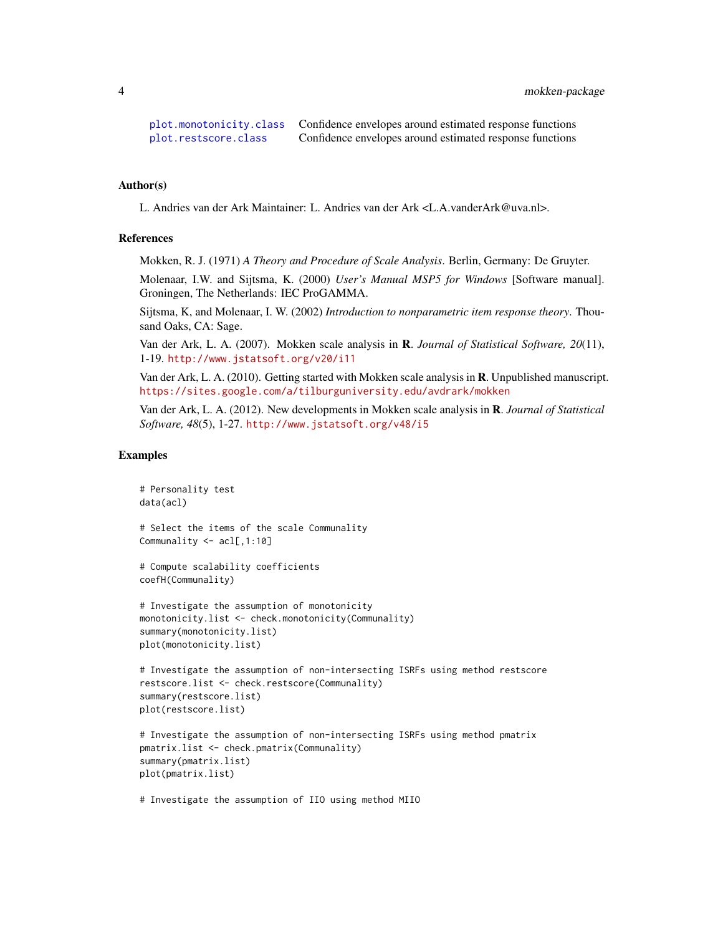```
plot.monotonicity.class Confidence envelopes around estimated response functions
plot.restscore.class Confidence envelopes around estimated response functions
```
#### Author(s)

L. Andries van der Ark Maintainer: L. Andries van der Ark <L.A.vanderArk@uva.nl>.

# References

Mokken, R. J. (1971) *A Theory and Procedure of Scale Analysis*. Berlin, Germany: De Gruyter.

Molenaar, I.W. and Sijtsma, K. (2000) *User's Manual MSP5 for Windows* [Software manual]. Groningen, The Netherlands: IEC ProGAMMA.

Sijtsma, K, and Molenaar, I. W. (2002) *Introduction to nonparametric item response theory*. Thousand Oaks, CA: Sage.

Van der Ark, L. A. (2007). Mokken scale analysis in R. *Journal of Statistical Software, 20*(11), 1-19. <http://www.jstatsoft.org/v20/i11>

Van der Ark, L. A. (2010). Getting started with Mokken scale analysis in R. Unpublished manuscript. <https://sites.google.com/a/tilburguniversity.edu/avdrark/mokken>

Van der Ark, L. A. (2012). New developments in Mokken scale analysis in R. *Journal of Statistical Software, 48*(5), 1-27. <http://www.jstatsoft.org/v48/i5>

# Examples

```
# Personality test
data(acl)
# Select the items of the scale Communality
Communality <- acl[,1:10]
# Compute scalability coefficients
coefH(Communality)
# Investigate the assumption of monotonicity
monotonicity.list <- check.monotonicity(Communality)
summary(monotonicity.list)
plot(monotonicity.list)
# Investigate the assumption of non-intersecting ISRFs using method restscore
restscore.list <- check.restscore(Communality)
summary(restscore.list)
plot(restscore.list)
# Investigate the assumption of non-intersecting ISRFs using method pmatrix
pmatrix.list <- check.pmatrix(Communality)
summary(pmatrix.list)
plot(pmatrix.list)
# Investigate the assumption of IIO using method MIIO
```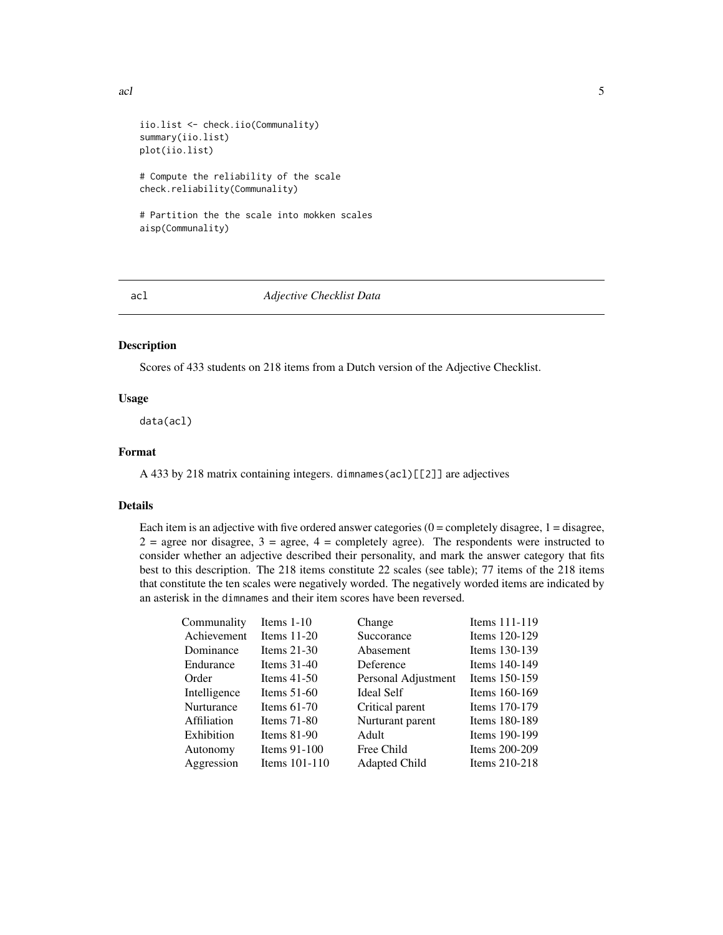```
iio.list <- check.iio(Communality)
summary(iio.list)
plot(iio.list)
# Compute the reliability of the scale
check.reliability(Communality)
# Partition the the scale into mokken scales
aisp(Communality)
```
<span id="page-4-1"></span>

acl *Adjective Checklist Data*

# Description

Scores of 433 students on 218 items from a Dutch version of the Adjective Checklist.

# Usage

data(acl)

# Format

A 433 by 218 matrix containing integers. dimnames(acl)[[2]] are adjectives

# Details

Each item is an adjective with five ordered answer categories  $(0 = \text{completely disagree}, 1 = \text{disagree},$  $2 = \text{agree nor disagree}, 3 = \text{agree}, 4 = \text{completely agree}}.$  The respondents were instructed to consider whether an adjective described their personality, and mark the answer category that fits best to this description. The 218 items constitute 22 scales (see table); 77 items of the 218 items that constitute the ten scales were negatively worded. The negatively worded items are indicated by an asterisk in the dimnames and their item scores have been reversed.

| Communality  | Items $1-10$    | Change              | Items 111-119 |
|--------------|-----------------|---------------------|---------------|
| Achievement  | Items $11-20$   | Succorance          | Items 120-129 |
| Dominance    | Items $21-30$   | Abasement           | Items 130-139 |
| Endurance    | Items $31-40$   | Deference           | Items 140-149 |
| Order        | Items $41-50$   | Personal Adjustment | Items 150-159 |
| Intelligence | Items $51-60$   | <b>Ideal Self</b>   | Items 160-169 |
| Nurturance   | Items $61-70$   | Critical parent     | Items 170-179 |
| Affiliation  | Items $71-80$   | Nurturant parent    | Items 180-189 |
| Exhibition   | Items $81-90$   | Adult               | Items 190-199 |
| Autonomy     | Items 91-100    | Free Child          | Items 200-209 |
| Aggression   | Items $101-110$ | Adapted Child       | Items 210-218 |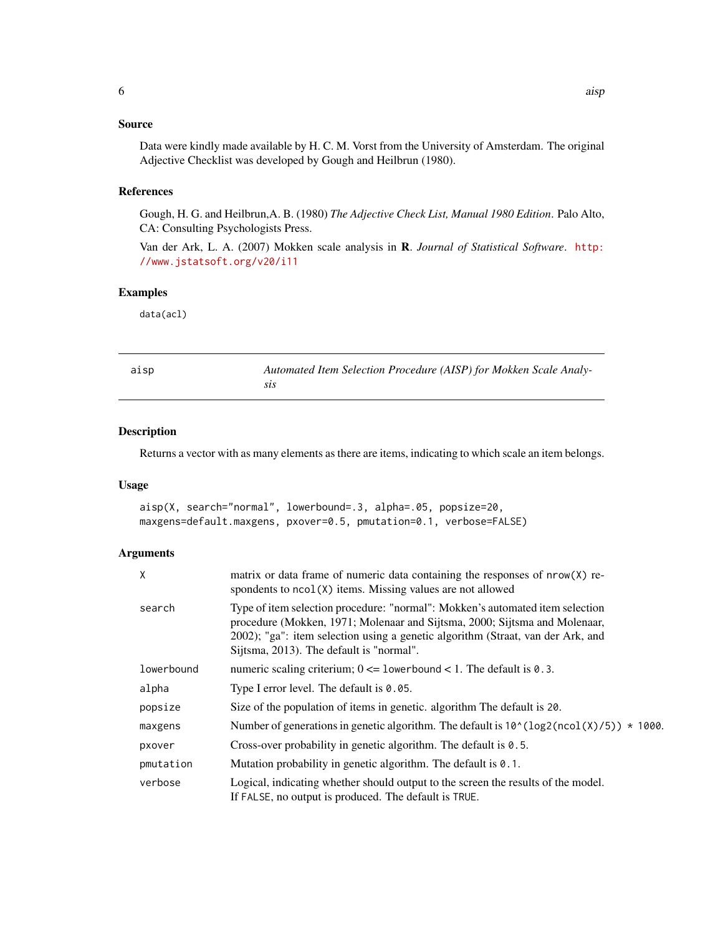# <span id="page-5-0"></span>Source

Data were kindly made available by H. C. M. Vorst from the University of Amsterdam. The original Adjective Checklist was developed by Gough and Heilbrun (1980).

# References

Gough, H. G. and Heilbrun,A. B. (1980) *The Adjective Check List, Manual 1980 Edition*. Palo Alto, CA: Consulting Psychologists Press.

Van der Ark, L. A. (2007) Mokken scale analysis in R. *Journal of Statistical Software*. [http:](http://www.jstatsoft.org/v20/i11) [//www.jstatsoft.org/v20/i11](http://www.jstatsoft.org/v20/i11)

# Examples

data(acl)

<span id="page-5-2"></span>

| $\sim$ | .,<br>۰, |  |
|--------|----------|--|

Automated Item Selection Procedure (AISP) for Mokken Scale Analy*sis*

# <span id="page-5-1"></span>Description

Returns a vector with as many elements as there are items, indicating to which scale an item belongs.

#### Usage

```
aisp(X, search="normal", lowerbound=.3, alpha=.05, popsize=20,
maxgens=default.maxgens, pxover=0.5, pmutation=0.1, verbose=FALSE)
```
# Arguments

| X          | matrix or data frame of numeric data containing the responses of $nrow(X)$ re-<br>spondents to $ncol(X)$ items. Missing values are not allowed                                                                                                                                             |
|------------|--------------------------------------------------------------------------------------------------------------------------------------------------------------------------------------------------------------------------------------------------------------------------------------------|
| search     | Type of item selection procedure: "normal": Mokken's automated item selection<br>procedure (Mokken, 1971; Molenaar and Sijtsma, 2000; Sijtsma and Molenaar,<br>2002); "ga": item selection using a genetic algorithm (Straat, van der Ark, and<br>Sijtsma, 2013). The default is "normal". |
| lowerbound | numeric scaling criterium; $0 \le l$ owerbound $\le l$ . The default is 0.3.                                                                                                                                                                                                               |
| alpha      | Type I error level. The default is $0.05$ .                                                                                                                                                                                                                                                |
| popsize    | Size of the population of items in genetic. algorithm The default is 20.                                                                                                                                                                                                                   |
| maxgens    | Number of generations in genetic algorithm. The default is $10^{\circ}$ (log2(ncol(X)/5)) $*$ 1000.                                                                                                                                                                                        |
| pxover     | Cross-over probability in genetic algorithm. The default is 0.5.                                                                                                                                                                                                                           |
| pmutation  | Mutation probability in genetic algorithm. The default is 0.1.                                                                                                                                                                                                                             |
| verbose    | Logical, indicating whether should output to the screen the results of the model.<br>If FALSE, no output is produced. The default is TRUE.                                                                                                                                                 |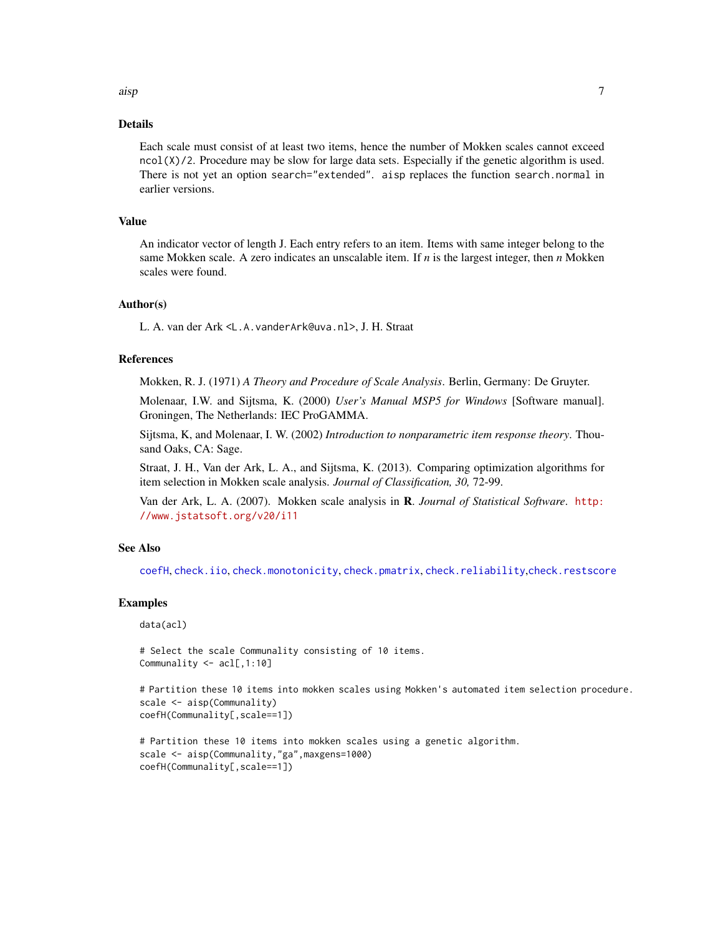<span id="page-6-0"></span>aisp 7 and 2012 12:00 to 2012 12:00 to 2012 12:00 12:00 12:00 12:00 12:00 12:00 12:00 12:00 12:00 12:00 12:00

# Details

Each scale must consist of at least two items, hence the number of Mokken scales cannot exceed ncol(X)/2. Procedure may be slow for large data sets. Especially if the genetic algorithm is used. There is not yet an option search="extended". aisp replaces the function search.normal in earlier versions.

#### Value

An indicator vector of length J. Each entry refers to an item. Items with same integer belong to the same Mokken scale. A zero indicates an unscalable item. If *n* is the largest integer, then *n* Mokken scales were found.

# Author(s)

L. A. van der Ark <L.A.vanderArk@uva.nl>, J. H. Straat

# References

Mokken, R. J. (1971) *A Theory and Procedure of Scale Analysis*. Berlin, Germany: De Gruyter.

Molenaar, I.W. and Sijtsma, K. (2000) *User's Manual MSP5 for Windows* [Software manual]. Groningen, The Netherlands: IEC ProGAMMA.

Sijtsma, K, and Molenaar, I. W. (2002) *Introduction to nonparametric item response theory*. Thousand Oaks, CA: Sage.

Straat, J. H., Van der Ark, L. A., and Sijtsma, K. (2013). Comparing optimization algorithms for item selection in Mokken scale analysis. *Journal of Classification, 30,* 72-99.

Van der Ark, L. A. (2007). Mokken scale analysis in R. *Journal of Statistical Software*. [http:](http://www.jstatsoft.org/v20/i11) [//www.jstatsoft.org/v20/i11](http://www.jstatsoft.org/v20/i11)

# See Also

[coefH](#page-17-1), [check.iio](#page-9-1), [check.monotonicity](#page-11-1), [check.pmatrix](#page-13-1), [check.reliability](#page-14-1),[check.restscore](#page-16-1)

# Examples

```
data(acl)
```

```
# Select the scale Communality consisting of 10 items.
Communality <- acl[,1:10]
```

```
# Partition these 10 items into mokken scales using Mokken's automated item selection procedure.
scale <- aisp(Communality)
coefH(Communality[,scale==1])
```

```
# Partition these 10 items into mokken scales using a genetic algorithm.
scale <- aisp(Communality,"ga",maxgens=1000)
coefH(Communality[,scale==1])
```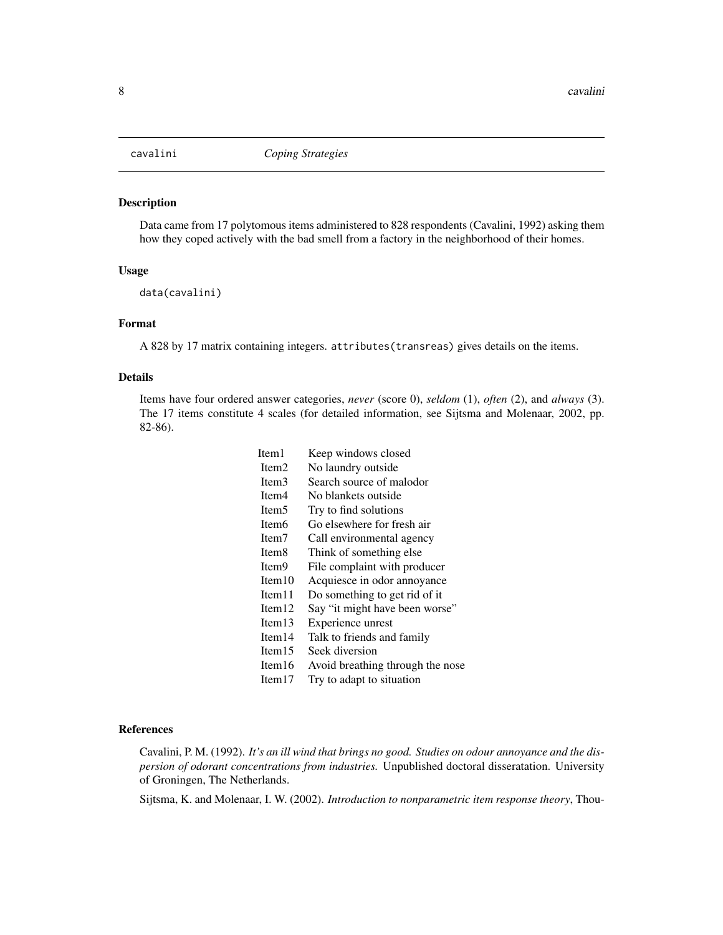<span id="page-7-1"></span><span id="page-7-0"></span>

#### Description

Data came from 17 polytomous items administered to 828 respondents (Cavalini, 1992) asking them how they coped actively with the bad smell from a factory in the neighborhood of their homes.

#### Usage

data(cavalini)

#### Format

A 828 by 17 matrix containing integers. attributes(transreas) gives details on the items.

#### Details

Items have four ordered answer categories, *never* (score 0), *seldom* (1), *often* (2), and *always* (3). The 17 items constitute 4 scales (for detailed information, see Sijtsma and Molenaar, 2002, pp. 82-86).

> Item1 Keep windows closed Item2 No laundry outside Item3 Search source of malodor Item4 No blankets outside Item5 Try to find solutions Item6 Go elsewhere for fresh air Item7 Call environmental agency Item8 Think of something else Item9 File complaint with producer Item10 Acquiesce in odor annoyance Item11 Do something to get rid of it Item12 Say "it might have been worse" Item13 Experience unrest Item14 Talk to friends and family Item15 Seek diversion Item16 Avoid breathing through the nose Item17 Try to adapt to situation

#### References

Cavalini, P. M. (1992). *It's an ill wind that brings no good. Studies on odour annoyance and the dispersion of odorant concentrations from industries.* Unpublished doctoral disseratation. University of Groningen, The Netherlands.

Sijtsma, K. and Molenaar, I. W. (2002). *Introduction to nonparametric item response theory*, Thou-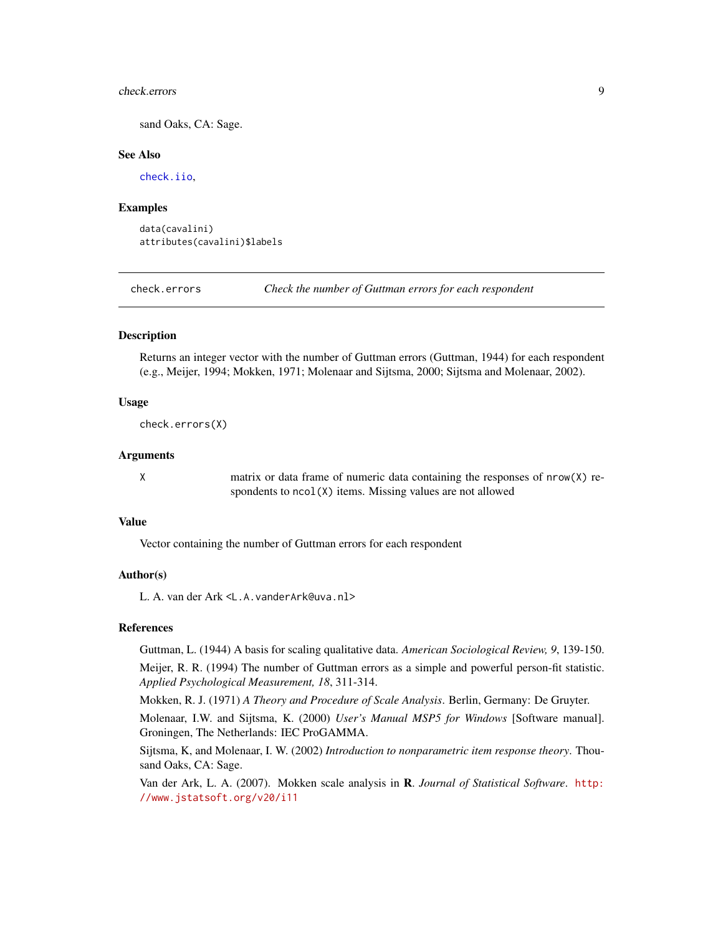#### <span id="page-8-0"></span>check.errors 9

sand Oaks, CA: Sage.

# See Also

[check.iio](#page-9-1),

# Examples

data(cavalini) attributes(cavalini)\$labels

<span id="page-8-1"></span>check.errors *Check the number of Guttman errors for each respondent*

# **Description**

Returns an integer vector with the number of Guttman errors (Guttman, 1944) for each respondent (e.g., Meijer, 1994; Mokken, 1971; Molenaar and Sijtsma, 2000; Sijtsma and Molenaar, 2002).

# Usage

check.errors(X)

# Arguments

X matrix or data frame of numeric data containing the responses of nrow(X) respondents to ncol(X) items. Missing values are not allowed

# Value

Vector containing the number of Guttman errors for each respondent

#### Author(s)

L. A. van der Ark <L.A.vanderArk@uva.nl>

#### References

Guttman, L. (1944) A basis for scaling qualitative data. *American Sociological Review, 9*, 139-150.

Meijer, R. R. (1994) The number of Guttman errors as a simple and powerful person-fit statistic. *Applied Psychological Measurement, 18*, 311-314.

Mokken, R. J. (1971) *A Theory and Procedure of Scale Analysis*. Berlin, Germany: De Gruyter.

Molenaar, I.W. and Sijtsma, K. (2000) *User's Manual MSP5 for Windows* [Software manual]. Groningen, The Netherlands: IEC ProGAMMA.

Sijtsma, K, and Molenaar, I. W. (2002) *Introduction to nonparametric item response theory*. Thousand Oaks, CA: Sage.

Van der Ark, L. A. (2007). Mokken scale analysis in R. *Journal of Statistical Software*. [http:](http://www.jstatsoft.org/v20/i11) [//www.jstatsoft.org/v20/i11](http://www.jstatsoft.org/v20/i11)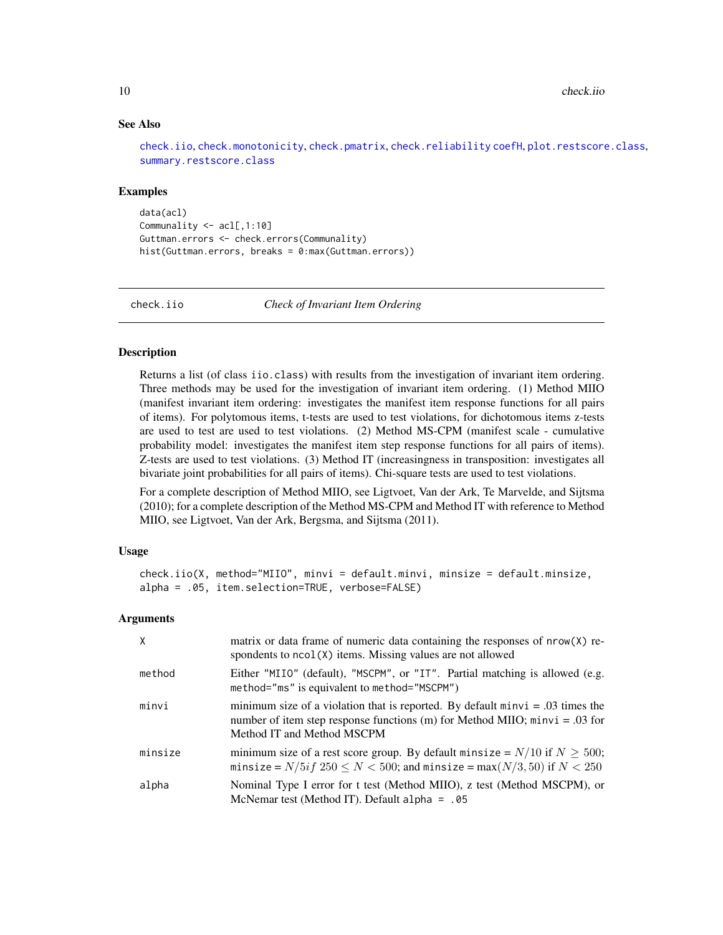# See Also

[check.iio](#page-9-1), [check.monotonicity](#page-11-1), [check.pmatrix](#page-13-1), [check.reliability](#page-14-1) [coefH](#page-17-1), [plot.restscore.class](#page-25-1), [summary.restscore.class](#page-31-1)

#### Examples

data(acl) Communality <- acl[,1:10] Guttman.errors <- check.errors(Communality) hist(Guttman.errors, breaks = 0:max(Guttman.errors))

<span id="page-9-1"></span>

check.iio *Check of Invariant Item Ordering*

#### Description

Returns a list (of class iio.class) with results from the investigation of invariant item ordering. Three methods may be used for the investigation of invariant item ordering. (1) Method MIIO (manifest invariant item ordering: investigates the manifest item response functions for all pairs of items). For polytomous items, t-tests are used to test violations, for dichotomous items z-tests are used to test are used to test violations. (2) Method MS-CPM (manifest scale - cumulative probability model: investigates the manifest item step response functions for all pairs of items). Z-tests are used to test violations. (3) Method IT (increasingness in transposition: investigates all bivariate joint probabilities for all pairs of items). Chi-square tests are used to test violations.

For a complete description of Method MIIO, see Ligtvoet, Van der Ark, Te Marvelde, and Sijtsma (2010); for a complete description of the Method MS-CPM and Method IT with reference to Method MIIO, see Ligtvoet, Van der Ark, Bergsma, and Sijtsma (2011).

# Usage

```
check.iio(X, method="MIIO", minvi = default.minvi, minsize = default.minsize,
alpha = .05, item.selection=TRUE, verbose=FALSE)
```
# **Arguments**

| $\times$ | matrix or data frame of numeric data containing the responses of nrow(X) re-<br>spondents to ncol (X) items. Missing values are not allowed                                                     |
|----------|-------------------------------------------------------------------------------------------------------------------------------------------------------------------------------------------------|
| method   | Either "MIIO" (default), "MSCPM", or "IT". Partial matching is allowed (e.g.<br>method="ms" is equivalent to method="MSCPM")                                                                    |
| minvi    | minimum size of a violation that is reported. By default $minvi = .03$ times the<br>number of item step response functions (m) for Method MIIO; $minvi = .03$ for<br>Method IT and Method MSCPM |
| minsize  | minimum size of a rest score group. By default minsize = $N/10$ if $N \ge 500$ ;<br>minsize = $N/5$ <i>if</i> $250 \le N < 500$ ; and minsize = max $(N/3, 50)$ if $N < 250$                    |
| alpha    | Nominal Type I error for t test (Method MIIO), z test (Method MSCPM), or<br>McNemar test (Method IT). Default alpha = $.05$                                                                     |

<span id="page-9-0"></span>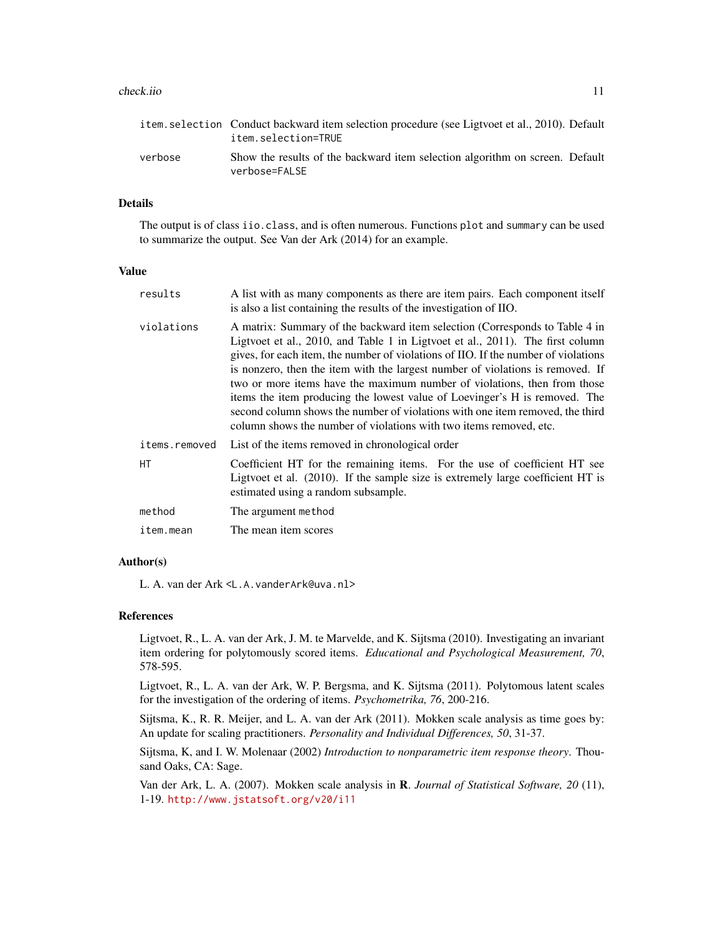#### check.iio 11

|         | item. selection Conduct backward item selection procedure (see Ligtvoet et al., 2010). Default<br>item.selection=TRUE |  |
|---------|-----------------------------------------------------------------------------------------------------------------------|--|
| verbose | Show the results of the backward item selection algorithm on screen. Default<br>verbose=FALSE                         |  |

# Details

The output is of class iio.class, and is often numerous. Functions plot and summary can be used to summarize the output. See Van der Ark (2014) for an example.

# Value

| results       | A list with as many components as there are item pairs. Each component itself<br>is also a list containing the results of the investigation of IIO.                                                                                                                                                                                                                                                                                                                                                                                                                                                                                                    |
|---------------|--------------------------------------------------------------------------------------------------------------------------------------------------------------------------------------------------------------------------------------------------------------------------------------------------------------------------------------------------------------------------------------------------------------------------------------------------------------------------------------------------------------------------------------------------------------------------------------------------------------------------------------------------------|
| violations    | A matrix: Summary of the backward item selection (Corresponds to Table 4 in<br>Ligtvoet et al., 2010, and Table 1 in Ligtvoet et al., 2011). The first column<br>gives, for each item, the number of violations of IIO. If the number of violations<br>is nonzero, then the item with the largest number of violations is removed. If<br>two or more items have the maximum number of violations, then from those<br>items the item producing the lowest value of Loevinger's H is removed. The<br>second column shows the number of violations with one item removed, the third<br>column shows the number of violations with two items removed, etc. |
| items.removed | List of the items removed in chronological order                                                                                                                                                                                                                                                                                                                                                                                                                                                                                                                                                                                                       |
| <b>HT</b>     | Coefficient HT for the remaining items. For the use of coefficient HT see<br>Ligtvoet et al. (2010). If the sample size is extremely large coefficient HT is<br>estimated using a random subsample.                                                                                                                                                                                                                                                                                                                                                                                                                                                    |
| method        | The argument method                                                                                                                                                                                                                                                                                                                                                                                                                                                                                                                                                                                                                                    |
| item.mean     | The mean item scores                                                                                                                                                                                                                                                                                                                                                                                                                                                                                                                                                                                                                                   |

# Author(s)

L. A. van der Ark <L.A.vanderArk@uva.nl>

#### References

Ligtvoet, R., L. A. van der Ark, J. M. te Marvelde, and K. Sijtsma (2010). Investigating an invariant item ordering for polytomously scored items. *Educational and Psychological Measurement, 70*, 578-595.

Ligtvoet, R., L. A. van der Ark, W. P. Bergsma, and K. Sijtsma (2011). Polytomous latent scales for the investigation of the ordering of items. *Psychometrika, 76*, 200-216.

Sijtsma, K., R. R. Meijer, and L. A. van der Ark (2011). Mokken scale analysis as time goes by: An update for scaling practitioners. *Personality and Individual Differences, 50*, 31-37.

Sijtsma, K, and I. W. Molenaar (2002) *Introduction to nonparametric item response theory*. Thousand Oaks, CA: Sage.

Van der Ark, L. A. (2007). Mokken scale analysis in R. *Journal of Statistical Software, 20* (11), 1-19. <http://www.jstatsoft.org/v20/i11>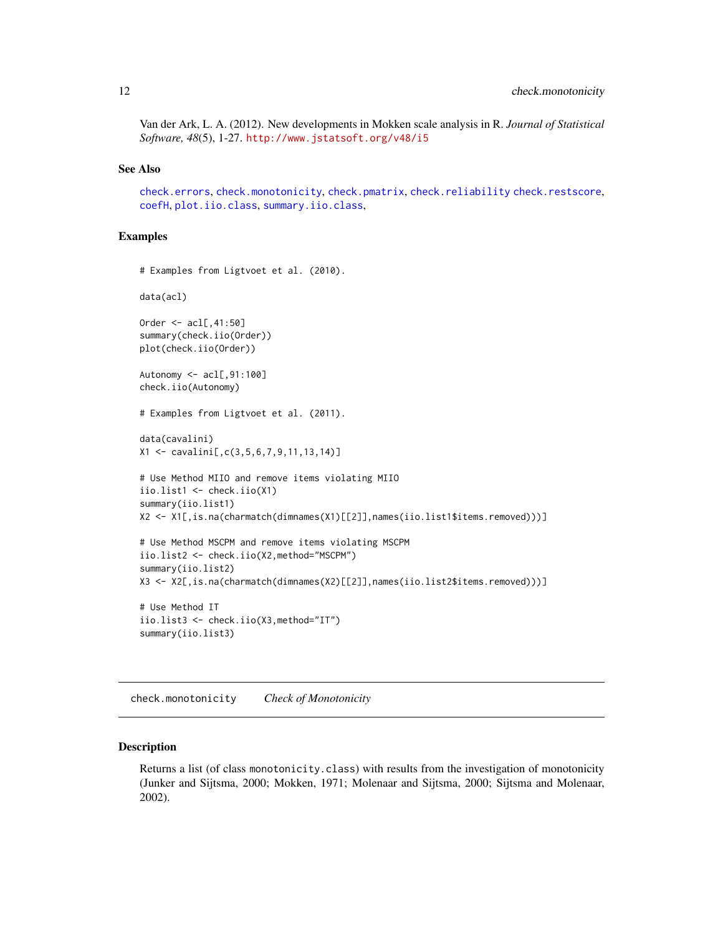<span id="page-11-0"></span>Van der Ark, L. A. (2012). New developments in Mokken scale analysis in R. *Journal of Statistical Software, 48*(5), 1-27. <http://www.jstatsoft.org/v48/i5>

# See Also

[check.errors](#page-8-1), [check.monotonicity](#page-11-1), [check.pmatrix](#page-13-1), [check.reliability](#page-14-1) [check.restscore](#page-16-1), [coefH](#page-17-1), [plot.iio.class](#page-20-1), [summary.iio.class](#page-26-1),

# Examples

```
# Examples from Ligtvoet et al. (2010).
data(acl)
Order <- acl[,41:50]
summary(check.iio(Order))
plot(check.iio(Order))
Autonomy <- acl[,91:100]
check.iio(Autonomy)
# Examples from Ligtvoet et al. (2011).
data(cavalini)
X1 <- cavalini[,c(3,5,6,7,9,11,13,14)]
# Use Method MIIO and remove items violating MIIO
iio.list1 <- check.iio(X1)
summary(iio.list1)
X2 <- X1[,is.na(charmatch(dimnames(X1)[[2]],names(iio.list1$items.removed)))]
# Use Method MSCPM and remove items violating MSCPM
iio.list2 <- check.iio(X2,method="MSCPM")
summary(iio.list2)
X3 <- X2[,is.na(charmatch(dimnames(X2)[[2]],names(iio.list2$items.removed)))]
# Use Method IT
iio.list3 <- check.iio(X3,method="IT")
summary(iio.list3)
```
<span id="page-11-1"></span>check.monotonicity *Check of Monotonicity*

#### Description

Returns a list (of class monotonicity.class) with results from the investigation of monotonicity (Junker and Sijtsma, 2000; Mokken, 1971; Molenaar and Sijtsma, 2000; Sijtsma and Molenaar, 2002).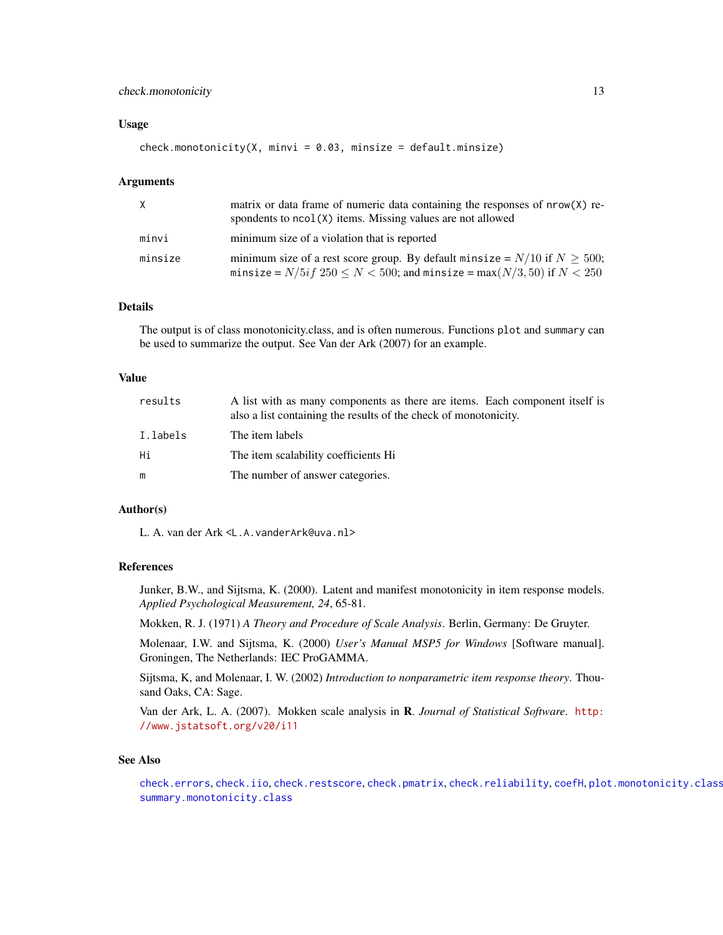# <span id="page-12-0"></span>check.monotonicity 13

# Usage

 $check.monotonicity(X, minvi = 0.03, minsize = default.minsize)$ 

# Arguments

| X       | matrix or data frame of numeric data containing the responses of $nrow(X)$ re-<br>spondents to ncol(X) items. Missing values are not allowed                          |
|---------|-----------------------------------------------------------------------------------------------------------------------------------------------------------------------|
| minvi   | minimum size of a violation that is reported                                                                                                                          |
| minsize | minimum size of a rest score group. By default minsize = $N/10$ if $N \ge 500$ ;<br>minsize = $N/5if$ 250 $\leq N < 500$ ; and minsize = max $(N/3, 50)$ if $N < 250$ |

# Details

The output is of class monotonicity.class, and is often numerous. Functions plot and summary can be used to summarize the output. See Van der Ark (2007) for an example.

# Value

| results  | A list with as many components as there are items. Each component itself is<br>also a list containing the results of the check of monotonicity. |
|----------|-------------------------------------------------------------------------------------------------------------------------------------------------|
| I.labels | The item labels                                                                                                                                 |
| Hi       | The item scalability coefficients Hi                                                                                                            |
| m        | The number of answer categories.                                                                                                                |

# Author(s)

L. A. van der Ark <L.A.vanderArk@uva.nl>

# References

Junker, B.W., and Sijtsma, K. (2000). Latent and manifest monotonicity in item response models. *Applied Psychological Measurement, 24*, 65-81.

Mokken, R. J. (1971) *A Theory and Procedure of Scale Analysis*. Berlin, Germany: De Gruyter.

Molenaar, I.W. and Sijtsma, K. (2000) *User's Manual MSP5 for Windows* [Software manual]. Groningen, The Netherlands: IEC ProGAMMA.

Sijtsma, K, and Molenaar, I. W. (2002) *Introduction to nonparametric item response theory*. Thousand Oaks, CA: Sage.

Van der Ark, L. A. (2007). Mokken scale analysis in R. *Journal of Statistical Software*. [http:](http://www.jstatsoft.org/v20/i11) [//www.jstatsoft.org/v20/i11](http://www.jstatsoft.org/v20/i11)

#### See Also

[check.errors](#page-8-1), [check.iio](#page-9-1), [check.restscore](#page-16-1), [check.pmatrix](#page-13-1), [check.reliability](#page-14-1), [coefH](#page-17-1), [plot.monotonicity.class](#page-22-1) [summary.monotonicity.class](#page-28-1)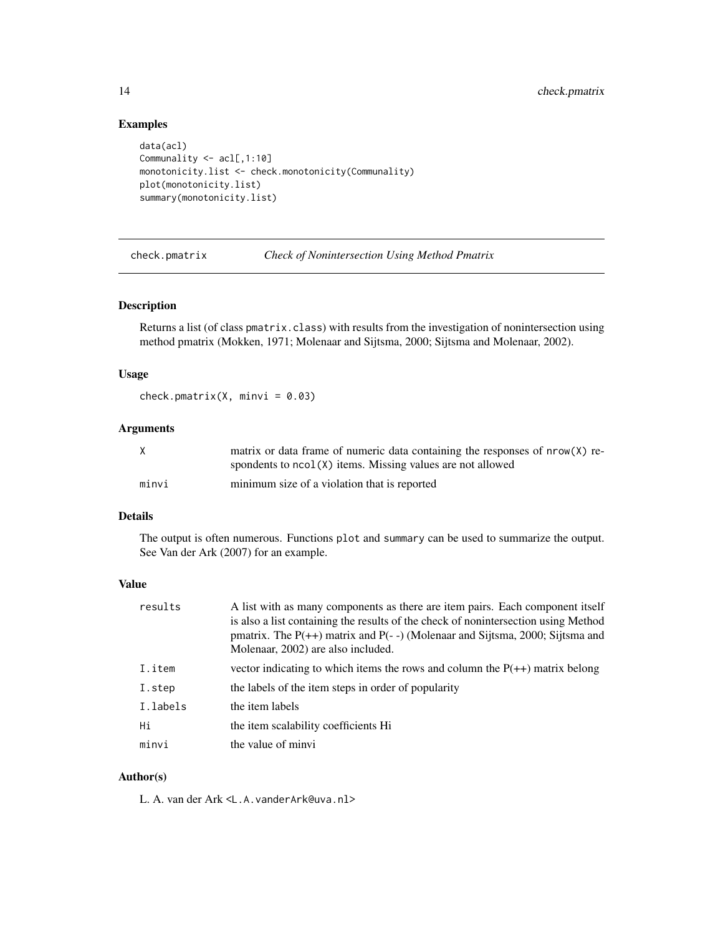# Examples

```
data(acl)
Communality <- acl[,1:10]
monotonicity.list <- check.monotonicity(Communality)
plot(monotonicity.list)
summary(monotonicity.list)
```
<span id="page-13-1"></span>check.pmatrix *Check of Nonintersection Using Method Pmatrix*

# Description

Returns a list (of class pmatrix.class) with results from the investigation of nonintersection using method pmatrix (Mokken, 1971; Molenaar and Sijtsma, 2000; Sijtsma and Molenaar, 2002).

# Usage

check.pmatrix(X, minvi =  $0.03$ )

# Arguments

| X     | matrix or data frame of numeric data containing the responses of $nrow(X)$ re- |
|-------|--------------------------------------------------------------------------------|
|       | spondents to $ncol(X)$ items. Missing values are not allowed                   |
| minvi | minimum size of a violation that is reported                                   |

# Details

The output is often numerous. Functions plot and summary can be used to summarize the output. See Van der Ark (2007) for an example.

#### Value

| results  | A list with as many components as there are item pairs. Each component itself<br>is also a list containing the results of the check of nonintersection using Method<br>pmatrix. The $P(++)$ matrix and $P(-)$ (Molenaar and Sijtsma, 2000; Sijtsma and<br>Molenaar, 2002) are also included. |
|----------|----------------------------------------------------------------------------------------------------------------------------------------------------------------------------------------------------------------------------------------------------------------------------------------------|
| I.item   | vector indicating to which items the rows and column the $P(++)$ matrix belong                                                                                                                                                                                                               |
| I.step   | the labels of the item steps in order of popularity                                                                                                                                                                                                                                          |
| I.labels | the item labels                                                                                                                                                                                                                                                                              |
| Нi       | the item scalability coefficients Hi                                                                                                                                                                                                                                                         |
| minvi    | the value of minvi                                                                                                                                                                                                                                                                           |

# Author(s)

L. A. van der Ark <L.A.vanderArk@uva.nl>

<span id="page-13-0"></span>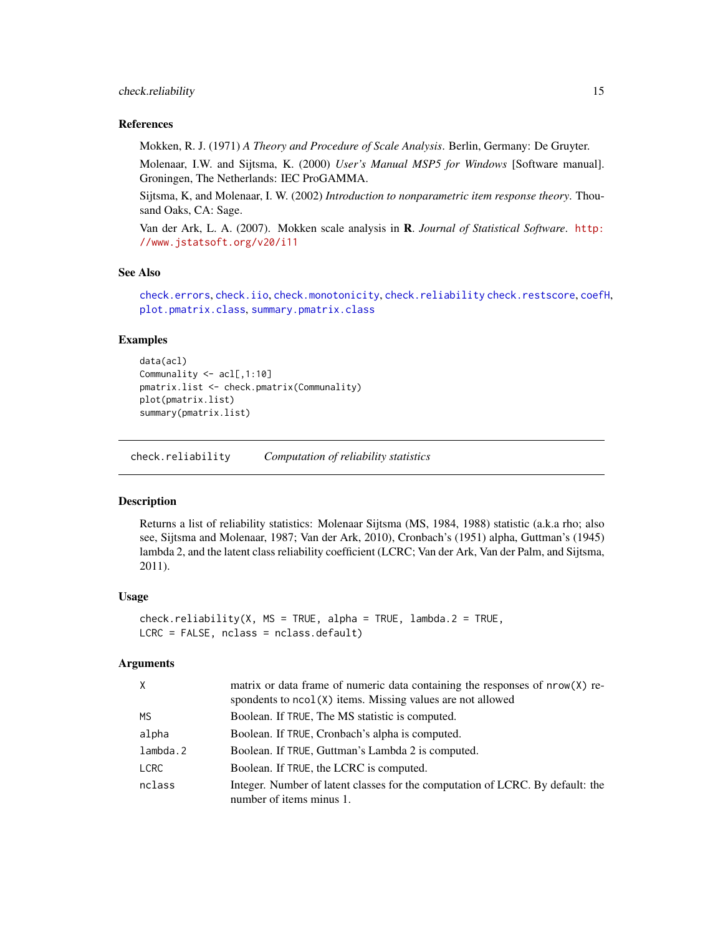# <span id="page-14-0"></span>check.reliability 15

# References

Mokken, R. J. (1971) *A Theory and Procedure of Scale Analysis*. Berlin, Germany: De Gruyter.

Molenaar, I.W. and Sijtsma, K. (2000) *User's Manual MSP5 for Windows* [Software manual]. Groningen, The Netherlands: IEC ProGAMMA.

Sijtsma, K, and Molenaar, I. W. (2002) *Introduction to nonparametric item response theory*. Thousand Oaks, CA: Sage.

Van der Ark, L. A. (2007). Mokken scale analysis in R. *Journal of Statistical Software*. [http:](http://www.jstatsoft.org/v20/i11) [//www.jstatsoft.org/v20/i11](http://www.jstatsoft.org/v20/i11)

#### See Also

[check.errors](#page-8-1), [check.iio](#page-9-1), [check.monotonicity](#page-11-1), [check.reliability](#page-14-1) [check.restscore](#page-16-1), [coefH](#page-17-1), [plot.pmatrix.class](#page-23-1), [summary.pmatrix.class](#page-29-1)

# Examples

```
data(acl)
Communality <- acl[,1:10]
pmatrix.list <- check.pmatrix(Communality)
plot(pmatrix.list)
summary(pmatrix.list)
```
<span id="page-14-1"></span>check.reliability *Computation of reliability statistics*

#### Description

Returns a list of reliability statistics: Molenaar Sijtsma (MS, 1984, 1988) statistic (a.k.a rho; also see, Sijtsma and Molenaar, 1987; Van der Ark, 2010), Cronbach's (1951) alpha, Guttman's (1945) lambda 2, and the latent class reliability coefficient (LCRC; Van der Ark, Van der Palm, and Sijtsma, 2011).

#### Usage

```
check.reliability(X, MS = TRUE, alpha = TRUE, lambda.2 = TRUE,
LCRC = FALSE, nclass = nclass.default)
```
# Arguments

| $\times$    | matrix or data frame of numeric data containing the responses of $nrow(X)$ re-<br>spondents to ncol(X) items. Missing values are not allowed |
|-------------|----------------------------------------------------------------------------------------------------------------------------------------------|
| MS.         | Boolean. If TRUE, The MS statistic is computed.                                                                                              |
| alpha       | Boolean. If TRUE, Cronbach's alpha is computed.                                                                                              |
| lambda.2    | Boolean. If TRUE, Guttman's Lambda 2 is computed.                                                                                            |
| <b>LCRC</b> | Boolean. If TRUE, the LCRC is computed.                                                                                                      |
| nclass      | Integer. Number of latent classes for the computation of LCRC. By default: the<br>number of items minus 1.                                   |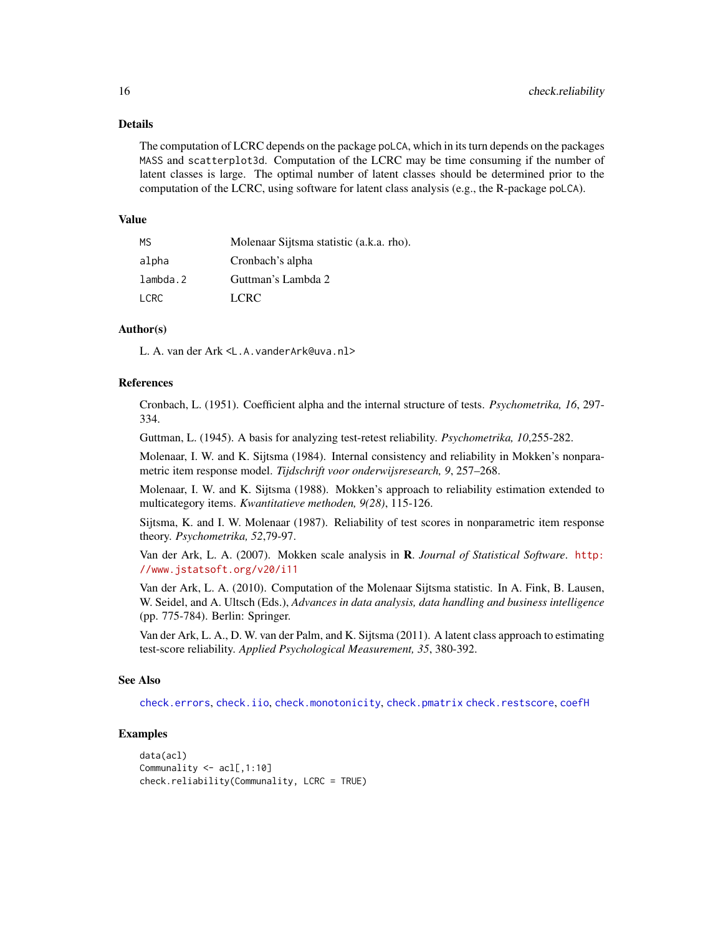#### <span id="page-15-0"></span>Details

The computation of LCRC depends on the package poLCA, which in its turn depends on the packages MASS and scatterplot3d. Computation of the LCRC may be time consuming if the number of latent classes is large. The optimal number of latent classes should be determined prior to the computation of the LCRC, using software for latent class analysis (e.g., the R-package poLCA).

#### Value

| МS          | Molenaar Sijtsma statistic (a.k.a. rho). |
|-------------|------------------------------------------|
| alpha       | Cronbach's alpha                         |
| lambda.2    | Guttman's Lambda 2                       |
| <b>LCRC</b> | LCRC.                                    |

# Author(s)

L. A. van der Ark <L.A.vanderArk@uva.nl>

# References

Cronbach, L. (1951). Coefficient alpha and the internal structure of tests. *Psychometrika, 16*, 297- 334.

Guttman, L. (1945). A basis for analyzing test-retest reliability. *Psychometrika, 10*,255-282.

Molenaar, I. W. and K. Sijtsma (1984). Internal consistency and reliability in Mokken's nonparametric item response model. *Tijdschrift voor onderwijsresearch, 9*, 257–268.

Molenaar, I. W. and K. Sijtsma (1988). Mokken's approach to reliability estimation extended to multicategory items. *Kwantitatieve methoden, 9(28)*, 115-126.

Sijtsma, K. and I. W. Molenaar (1987). Reliability of test scores in nonparametric item response theory. *Psychometrika, 52*,79-97.

Van der Ark, L. A. (2007). Mokken scale analysis in R. *Journal of Statistical Software*. [http:](http://www.jstatsoft.org/v20/i11) [//www.jstatsoft.org/v20/i11](http://www.jstatsoft.org/v20/i11)

Van der Ark, L. A. (2010). Computation of the Molenaar Sijtsma statistic. In A. Fink, B. Lausen, W. Seidel, and A. Ultsch (Eds.), *Advances in data analysis, data handling and business intelligence* (pp. 775-784). Berlin: Springer.

Van der Ark, L. A., D. W. van der Palm, and K. Sijtsma (2011). A latent class approach to estimating test-score reliability. *Applied Psychological Measurement, 35*, 380-392.

# See Also

[check.errors](#page-8-1), [check.iio](#page-9-1), [check.monotonicity](#page-11-1), [check.pmatrix](#page-13-1) [check.restscore](#page-16-1), [coefH](#page-17-1)

# Examples

```
data(acl)
Communality <- acl[,1:10]
check.reliability(Communality, LCRC = TRUE)
```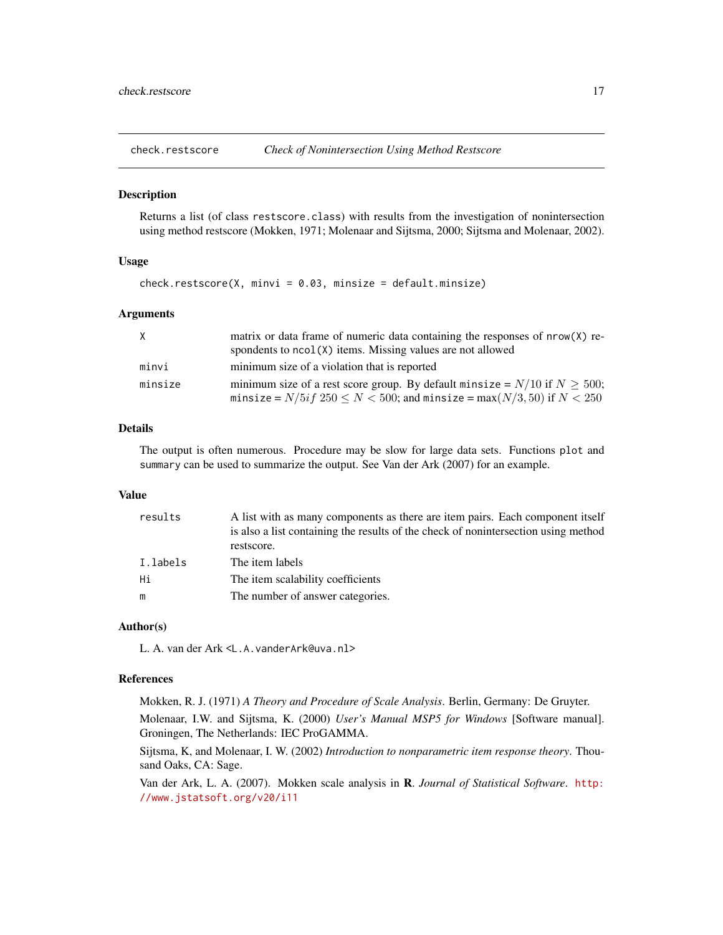<span id="page-16-1"></span><span id="page-16-0"></span>

# Description

Returns a list (of class restscore.class) with results from the investigation of nonintersection using method restscore (Mokken, 1971; Molenaar and Sijtsma, 2000; Sijtsma and Molenaar, 2002).

# Usage

```
check. \n  restscore(X, minvi = 0.03, minsize = default. \n  minsize)
```
#### Arguments

| X       | matrix or data frame of numeric data containing the responses of $nrow(X)$ re-   |
|---------|----------------------------------------------------------------------------------|
|         | spondents to $ncol(X)$ items. Missing values are not allowed                     |
| minvi   | minimum size of a violation that is reported                                     |
| minsize | minimum size of a rest score group. By default minsize = $N/10$ if $N \ge 500$ ; |
|         | minsize = $N/5if$ 250 $\leq N <$ 500; and minsize = max( $N/3,$ 50) if $N <$ 250 |

# Details

The output is often numerous. Procedure may be slow for large data sets. Functions plot and summary can be used to summarize the output. See Van der Ark (2007) for an example.

# Value

| results  | A list with as many components as there are item pairs. Each component itself      |
|----------|------------------------------------------------------------------------------------|
|          | is also a list containing the results of the check of nonintersection using method |
|          | restscore.                                                                         |
| I.labels | The item labels                                                                    |
| Hi       | The item scalability coefficients                                                  |
| m        | The number of answer categories.                                                   |

#### Author(s)

L. A. van der Ark <L.A.vanderArk@uva.nl>

# References

Mokken, R. J. (1971) *A Theory and Procedure of Scale Analysis*. Berlin, Germany: De Gruyter.

Molenaar, I.W. and Sijtsma, K. (2000) *User's Manual MSP5 for Windows* [Software manual]. Groningen, The Netherlands: IEC ProGAMMA.

Sijtsma, K, and Molenaar, I. W. (2002) *Introduction to nonparametric item response theory*. Thousand Oaks, CA: Sage.

Van der Ark, L. A. (2007). Mokken scale analysis in R. *Journal of Statistical Software*. [http:](http://www.jstatsoft.org/v20/i11) [//www.jstatsoft.org/v20/i11](http://www.jstatsoft.org/v20/i11)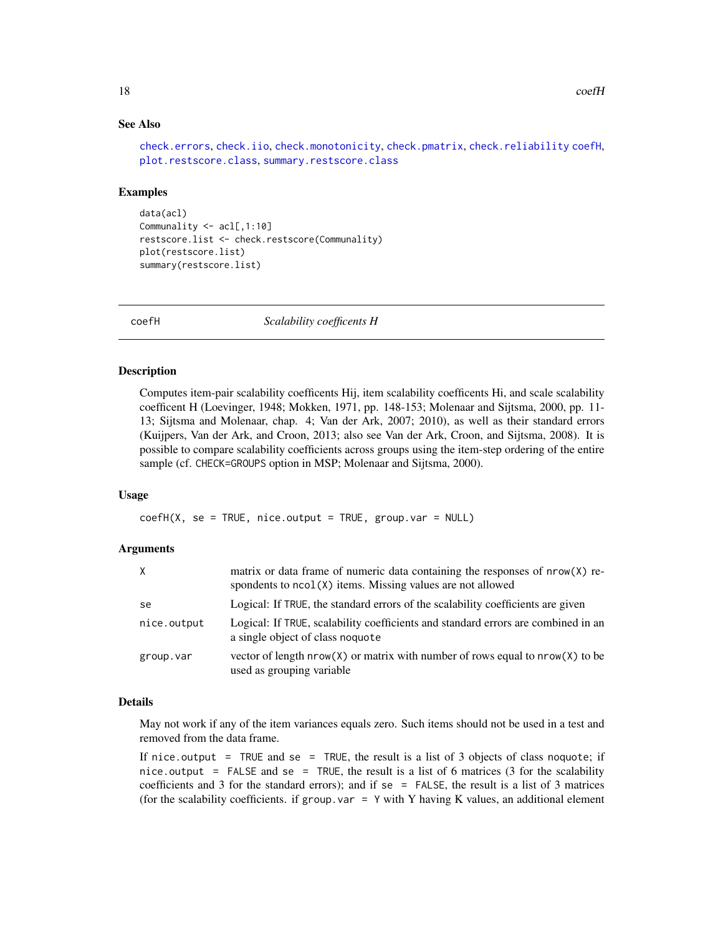# See Also

```
check.errors, check.iio, check.monotonicity, check.pmatrix, check.reliability coefH,
plot.restscore.class, summary.restscore.class
```
#### Examples

```
data(acl)
Communality <- acl[,1:10]
restscore.list <- check.restscore(Communality)
plot(restscore.list)
summary(restscore.list)
```
<span id="page-17-1"></span>coefH *Scalability coefficents H*

# Description

Computes item-pair scalability coefficents Hij, item scalability coefficents Hi, and scale scalability coefficent H (Loevinger, 1948; Mokken, 1971, pp. 148-153; Molenaar and Sijtsma, 2000, pp. 11- 13; Sijtsma and Molenaar, chap. 4; Van der Ark, 2007; 2010), as well as their standard errors (Kuijpers, Van der Ark, and Croon, 2013; also see Van der Ark, Croon, and Sijtsma, 2008). It is possible to compare scalability coefficients across groups using the item-step ordering of the entire sample (cf. CHECK=GROUPS option in MSP; Molenaar and Sijtsma, 2000).

#### Usage

 $coeff(X, se = TRUE, nice.output = TRUE, group.var = NULL)$ 

#### **Arguments**

| X           | matrix or data frame of numeric data containing the responses of $nrow(X)$ re-<br>spondents to ncol(X) items. Missing values are not allowed |
|-------------|----------------------------------------------------------------------------------------------------------------------------------------------|
| se          | Logical: If TRUE, the standard errors of the scalability coefficients are given                                                              |
| nice.output | Logical: If TRUE, scalability coefficients and standard errors are combined in an<br>a single object of class noquote                        |
| group.var   | vector of length $nrow(X)$ or matrix with number of rows equal to $nrow(X)$ to be<br>used as grouping variable                               |

# Details

May not work if any of the item variances equals zero. Such items should not be used in a test and removed from the data frame.

If nice.output = TRUE and se = TRUE, the result is a list of 3 objects of class noquote; if nice.output = FALSE and se = TRUE, the result is a list of 6 matrices (3 for the scalability coefficients and 3 for the standard errors); and if  $se = FALSE$ , the result is a list of 3 matrices (for the scalability coefficients. if group. var =  $Y$  with Y having K values, an additional element

<span id="page-17-0"></span>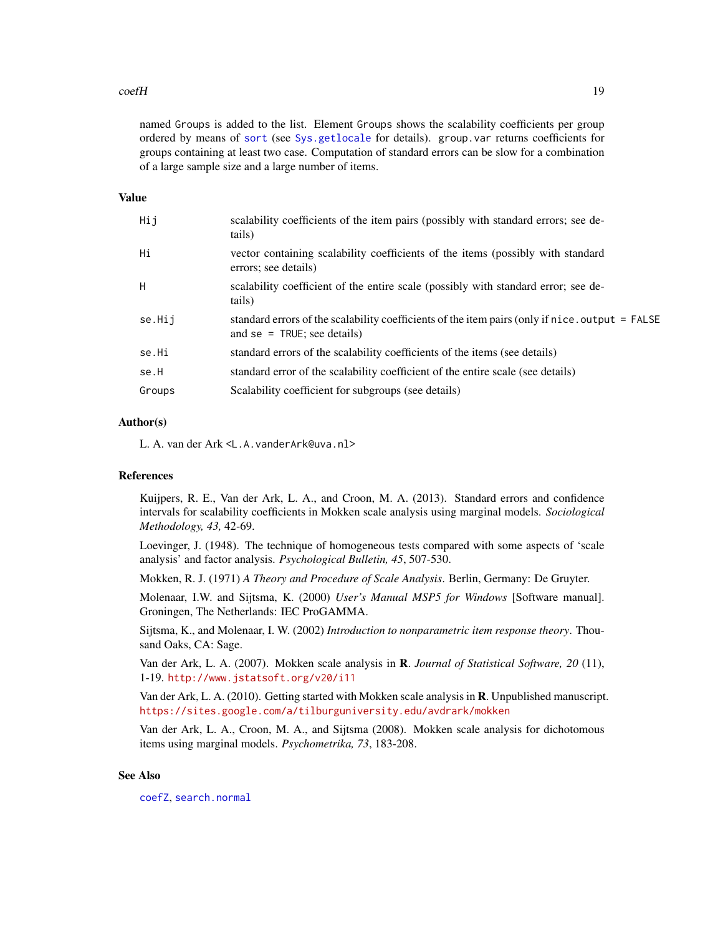#### <span id="page-18-0"></span> $\text{coeff}$  19

named Groups is added to the list. Element Groups shows the scalability coefficients per group ordered by means of [sort](#page-0-0) (see [Sys.getlocale](#page-0-0) for details). group.var returns coefficients for groups containing at least two case. Computation of standard errors can be slow for a combination of a large sample size and a large number of items.

# Value

| Hij    | scalability coefficients of the item pairs (possibly with standard errors; see de-<br>tails)                                       |
|--------|------------------------------------------------------------------------------------------------------------------------------------|
| Hi     | vector containing scalability coefficients of the items (possibly with standard<br>errors; see details)                            |
| H      | scalability coefficient of the entire scale (possibly with standard error; see de-<br>tails)                                       |
| se.Hij | standard errors of the scalability coefficients of the item pairs (only if $nice$ output = FALSE<br>and $se = TRUE$ ; see details) |
| se.Hi  | standard errors of the scalability coefficients of the items (see details)                                                         |
| se.H   | standard error of the scalability coefficient of the entire scale (see details)                                                    |
| Groups | Scalability coefficient for subgroups (see details)                                                                                |
|        |                                                                                                                                    |

# Author(s)

L. A. van der Ark <L.A.vanderArk@uva.nl>

# References

Kuijpers, R. E., Van der Ark, L. A., and Croon, M. A. (2013). Standard errors and confidence intervals for scalability coefficients in Mokken scale analysis using marginal models. *Sociological Methodology, 43,* 42-69.

Loevinger, J. (1948). The technique of homogeneous tests compared with some aspects of 'scale analysis' and factor analysis. *Psychological Bulletin, 45*, 507-530.

Mokken, R. J. (1971) *A Theory and Procedure of Scale Analysis*. Berlin, Germany: De Gruyter.

Molenaar, I.W. and Sijtsma, K. (2000) *User's Manual MSP5 for Windows* [Software manual]. Groningen, The Netherlands: IEC ProGAMMA.

Sijtsma, K., and Molenaar, I. W. (2002) *Introduction to nonparametric item response theory*. Thousand Oaks, CA: Sage.

Van der Ark, L. A. (2007). Mokken scale analysis in R. *Journal of Statistical Software, 20* (11), 1-19. <http://www.jstatsoft.org/v20/i11>

Van der Ark, L. A. (2010). Getting started with Mokken scale analysis in R. Unpublished manuscript. <https://sites.google.com/a/tilburguniversity.edu/avdrark/mokken>

Van der Ark, L. A., Croon, M. A., and Sijtsma (2008). Mokken scale analysis for dichotomous items using marginal models. *Psychometrika, 73*, 183-208.

#### See Also

[coefZ](#page-19-1), [search.normal](#page-5-1)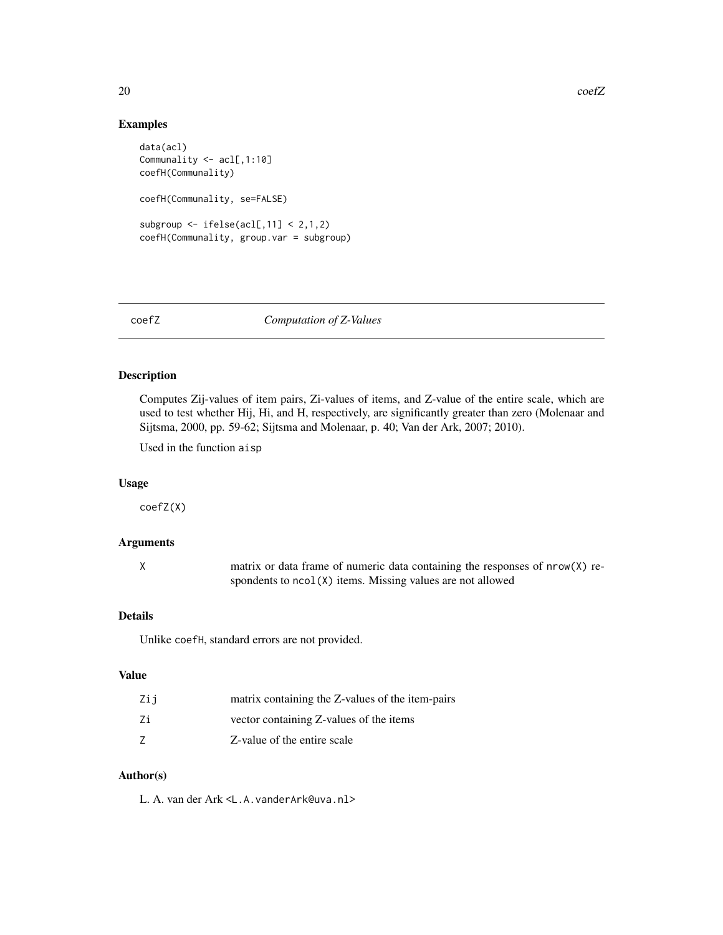# Examples

```
data(acl)
Communality <- acl[,1:10]
coefH(Communality)
coefH(Communality, se=FALSE)
subgroup \le ifelse(acl[,11] \le 2,1,2)
coefH(Communality, group.var = subgroup)
```
# <span id="page-19-1"></span>coefZ *Computation of Z-Values*

# Description

Computes Zij-values of item pairs, Zi-values of items, and Z-value of the entire scale, which are used to test whether Hij, Hi, and H, respectively, are significantly greater than zero (Molenaar and Sijtsma, 2000, pp. 59-62; Sijtsma and Molenaar, p. 40; Van der Ark, 2007; 2010).

Used in the function aisp

#### Usage

coefZ(X)

# Arguments

X matrix or data frame of numeric data containing the responses of nrow(X) respondents to ncol(X) items. Missing values are not allowed

# Details

Unlike coefH, standard errors are not provided.

# Value

| Zij | matrix containing the Z-values of the item-pairs |
|-----|--------------------------------------------------|
| Ζi  | vector containing Z-values of the items          |
|     | Z-value of the entire scale                      |

#### Author(s)

L. A. van der Ark <L.A.vanderArk@uva.nl>

<span id="page-19-0"></span>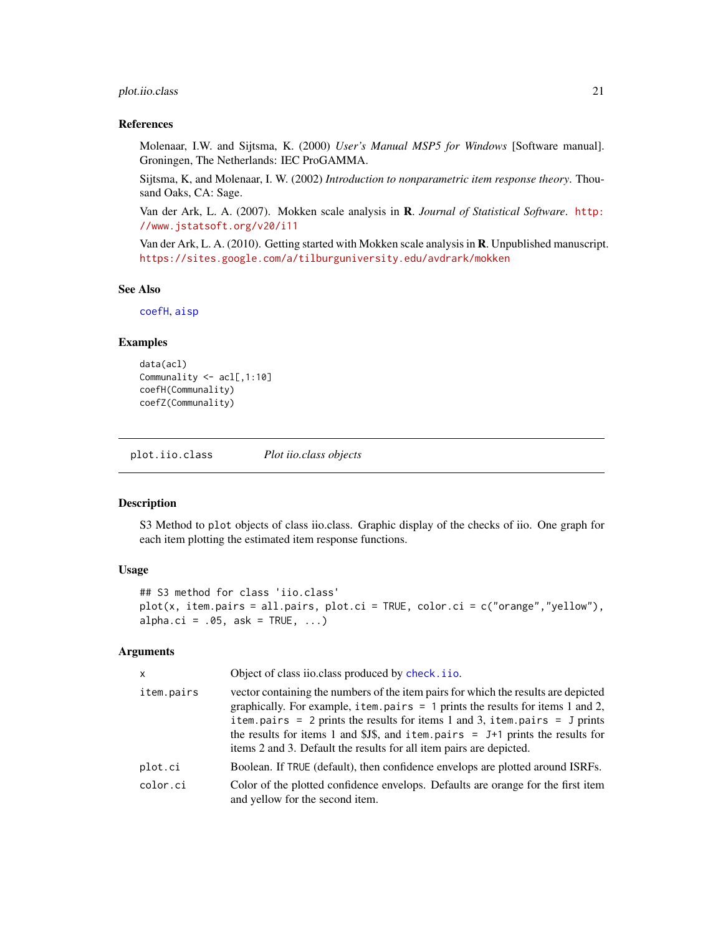# <span id="page-20-0"></span>plot.iio.class 21

# References

Molenaar, I.W. and Sijtsma, K. (2000) *User's Manual MSP5 for Windows* [Software manual]. Groningen, The Netherlands: IEC ProGAMMA.

Sijtsma, K, and Molenaar, I. W. (2002) *Introduction to nonparametric item response theory*. Thousand Oaks, CA: Sage.

Van der Ark, L. A. (2007). Mokken scale analysis in R. *Journal of Statistical Software*. [http:](http://www.jstatsoft.org/v20/i11) [//www.jstatsoft.org/v20/i11](http://www.jstatsoft.org/v20/i11)

Van der Ark, L. A. (2010). Getting started with Mokken scale analysis in R. Unpublished manuscript. <https://sites.google.com/a/tilburguniversity.edu/avdrark/mokken>

# See Also

[coefH](#page-17-1), [aisp](#page-5-2)

# Examples

```
data(acl)
Communality <- acl[,1:10]
coefH(Communality)
coefZ(Communality)
```
<span id="page-20-1"></span>plot.iio.class *Plot iio.class objects*

# Description

S3 Method to plot objects of class iio.class. Graphic display of the checks of iio. One graph for each item plotting the estimated item response functions.

# Usage

```
## S3 method for class 'iio.class'
plot(x, item.pairs = all.pairs, plot.ci = TRUE, color.ci = c("orange","yellow"),
alpha.ci = .05, ask = TRUE, \ldots)
```
#### Arguments

| $\mathsf{x}$ | Object of class iio.class produced by check.iio.                                                                                                                                                                                                                                                                                                                                                                     |  |  |
|--------------|----------------------------------------------------------------------------------------------------------------------------------------------------------------------------------------------------------------------------------------------------------------------------------------------------------------------------------------------------------------------------------------------------------------------|--|--|
| item.pairs   | vector containing the numbers of the item pairs for which the results are depicted<br>graphically. For example, item. pairs $= 1$ prints the results for items 1 and 2,<br>item.pairs = $2$ prints the results for items 1 and 3, item.pairs = $J$ prints<br>the results for items 1 and \$J\$, and item.pairs = $J+1$ prints the results for<br>items 2 and 3. Default the results for all item pairs are depicted. |  |  |
| plot.ci      | Boolean. If TRUE (default), then confidence envelops are plotted around ISRFs.                                                                                                                                                                                                                                                                                                                                       |  |  |
| color.ci     | Color of the plotted confidence envelops. Defaults are orange for the first item<br>and yellow for the second item.                                                                                                                                                                                                                                                                                                  |  |  |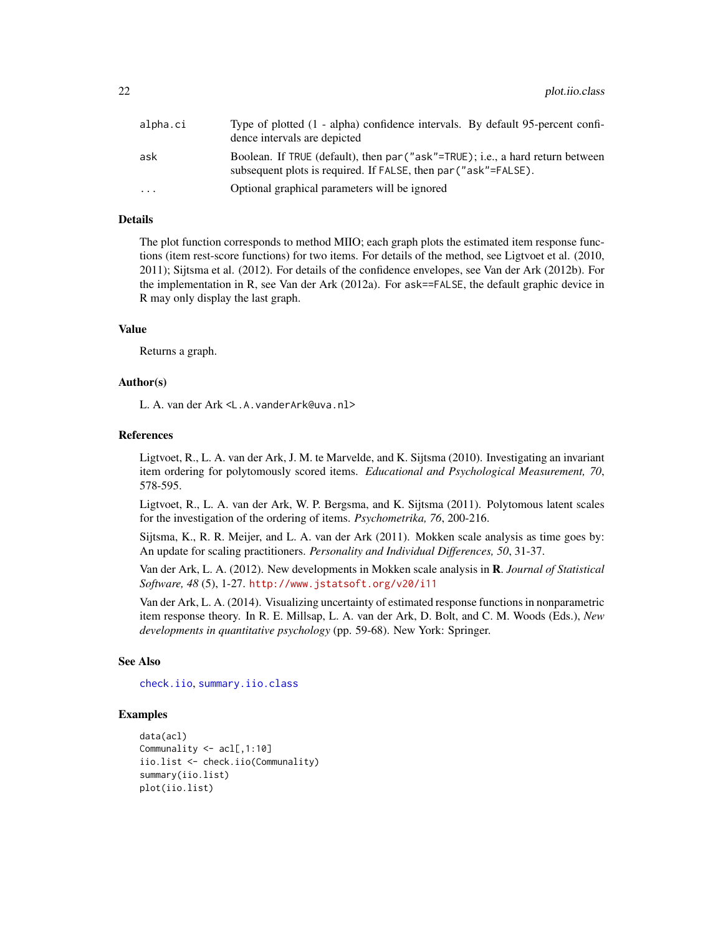<span id="page-21-0"></span>

| alpha.ci | Type of plotted (1 - alpha) confidence intervals. By default 95-percent confi-<br>dence intervals are depicted                                    |
|----------|---------------------------------------------------------------------------------------------------------------------------------------------------|
| ask      | Boolean. If TRUE (default), then par ("ask"=TRUE); i.e., a hard return between<br>subsequent plots is required. If FALSE, then par ("ask"=FALSE). |
| .        | Optional graphical parameters will be ignored                                                                                                     |

# Details

The plot function corresponds to method MIIO; each graph plots the estimated item response functions (item rest-score functions) for two items. For details of the method, see Ligtvoet et al. (2010, 2011); Sijtsma et al. (2012). For details of the confidence envelopes, see Van der Ark (2012b). For the implementation in R, see Van der Ark (2012a). For ask==FALSE, the default graphic device in R may only display the last graph.

# Value

Returns a graph.

# Author(s)

L. A. van der Ark <L.A.vanderArk@uva.nl>

# References

Ligtvoet, R., L. A. van der Ark, J. M. te Marvelde, and K. Sijtsma (2010). Investigating an invariant item ordering for polytomously scored items. *Educational and Psychological Measurement, 70*, 578-595.

Ligtvoet, R., L. A. van der Ark, W. P. Bergsma, and K. Sijtsma (2011). Polytomous latent scales for the investigation of the ordering of items. *Psychometrika, 76*, 200-216.

Sijtsma, K., R. R. Meijer, and L. A. van der Ark (2011). Mokken scale analysis as time goes by: An update for scaling practitioners. *Personality and Individual Differences, 50*, 31-37.

Van der Ark, L. A. (2012). New developments in Mokken scale analysis in R. *Journal of Statistical Software, 48* (5), 1-27. <http://www.jstatsoft.org/v20/i11>

Van der Ark, L. A. (2014). Visualizing uncertainty of estimated response functions in nonparametric item response theory. In R. E. Millsap, L. A. van der Ark, D. Bolt, and C. M. Woods (Eds.), *New developments in quantitative psychology* (pp. 59-68). New York: Springer.

# See Also

[check.iio](#page-9-1), [summary.iio.class](#page-26-1)

#### Examples

```
data(acl)
Communality <- acl[,1:10]
iio.list <- check.iio(Communality)
summary(iio.list)
plot(iio.list)
```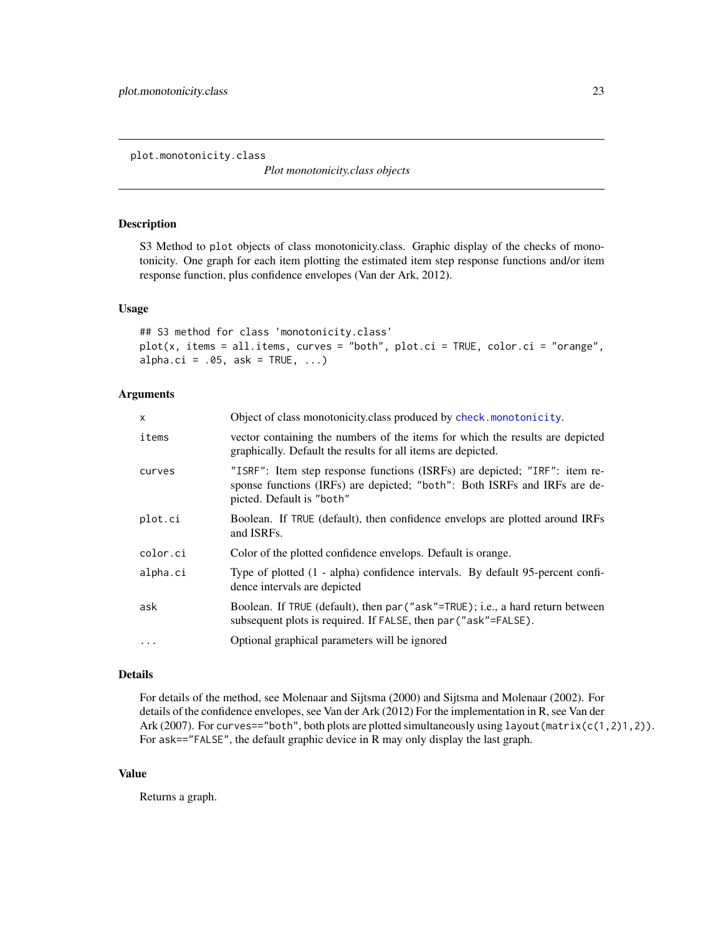<span id="page-22-1"></span><span id="page-22-0"></span>plot.monotonicity.class

*Plot monotonicity.class objects*

# Description

S3 Method to plot objects of class monotonicity.class. Graphic display of the checks of monotonicity. One graph for each item plotting the estimated item step response functions and/or item response function, plus confidence envelopes (Van der Ark, 2012).

# Usage

```
## S3 method for class 'monotonicity.class'
plot(x, items = all.items, curves = "both", plot.ci = TRUE, color.ci = "orange",
alpha.ci = .05, ask = TRUE, \ldots)
```
# Arguments

| $\mathsf{x}$ | Object of class monotonicity.class produced by check.monotonicity.                                                                                                                   |  |  |  |  |
|--------------|--------------------------------------------------------------------------------------------------------------------------------------------------------------------------------------|--|--|--|--|
| items        | vector containing the numbers of the items for which the results are depicted<br>graphically. Default the results for all items are depicted.                                        |  |  |  |  |
| curves       | "ISRF": Item step response functions (ISRFs) are depicted; "IRF": item re-<br>sponse functions (IRFs) are depicted; "both": Both ISRFs and IRFs are de-<br>picted. Default is "both" |  |  |  |  |
| plot.ci      | Boolean. If TRUE (default), then confidence envelops are plotted around IRFs<br>and ISRFs.                                                                                           |  |  |  |  |
| color.ci     | Color of the plotted confidence envelops. Default is orange.                                                                                                                         |  |  |  |  |
| alpha.ci     | Type of plotted (1 - alpha) confidence intervals. By default 95-percent confi-<br>dence intervals are depicted                                                                       |  |  |  |  |
| ask          | Boolean. If TRUE (default), then par ("ask"=TRUE); i.e., a hard return between<br>subsequent plots is required. If FALSE, then par ("ask"=FALSE).                                    |  |  |  |  |
| $\cdots$     | Optional graphical parameters will be ignored                                                                                                                                        |  |  |  |  |

### Details

For details of the method, see Molenaar and Sijtsma (2000) and Sijtsma and Molenaar (2002). For details of the confidence envelopes, see Van der Ark (2012) For the implementation in R, see Van der Ark (2007). For curves=="both", both plots are plotted simultaneously using layout (matrix(c(1,2)1,2)). For ask=="FALSE", the default graphic device in R may only display the last graph.

# Value

Returns a graph.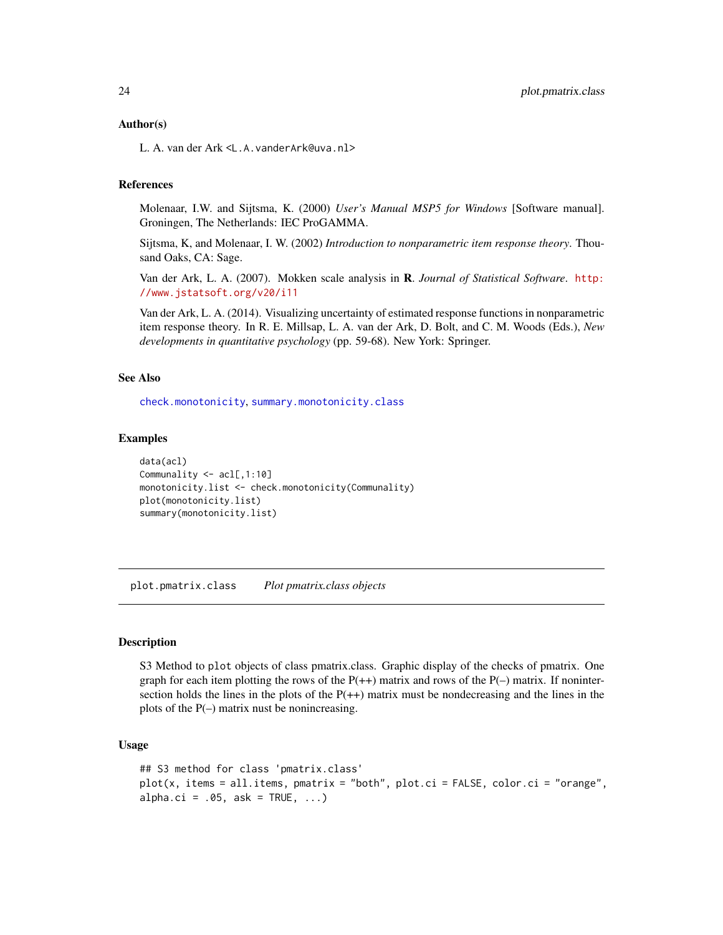#### <span id="page-23-0"></span>Author(s)

L. A. van der Ark <L.A.vanderArk@uva.nl>

#### References

Molenaar, I.W. and Sijtsma, K. (2000) *User's Manual MSP5 for Windows* [Software manual]. Groningen, The Netherlands: IEC ProGAMMA.

Sijtsma, K, and Molenaar, I. W. (2002) *Introduction to nonparametric item response theory*. Thousand Oaks, CA: Sage.

Van der Ark, L. A. (2007). Mokken scale analysis in R. *Journal of Statistical Software*. [http:](http://www.jstatsoft.org/v20/i11) [//www.jstatsoft.org/v20/i11](http://www.jstatsoft.org/v20/i11)

Van der Ark, L. A. (2014). Visualizing uncertainty of estimated response functions in nonparametric item response theory. In R. E. Millsap, L. A. van der Ark, D. Bolt, and C. M. Woods (Eds.), *New developments in quantitative psychology* (pp. 59-68). New York: Springer.

#### See Also

[check.monotonicity](#page-11-1), [summary.monotonicity.class](#page-28-1)

#### Examples

```
data(acl)
Communality <- acl[,1:10]
monotonicity.list <- check.monotonicity(Communality)
plot(monotonicity.list)
summary(monotonicity.list)
```
<span id="page-23-1"></span>plot.pmatrix.class *Plot pmatrix.class objects*

# **Description**

S3 Method to plot objects of class pmatrix.class. Graphic display of the checks of pmatrix. One graph for each item plotting the rows of the  $P(+)$  matrix and rows of the  $P(-)$  matrix. If nonintersection holds the lines in the plots of the  $P(+)$  matrix must be nondecreasing and the lines in the plots of the  $P(-)$  matrix nust be nonincreasing.

# Usage

```
## S3 method for class 'pmatrix.class'
plot(x, items = all.items, pmatrix = "both", plot.ci = FALSE, color.ci = "orange",
alpha.ci = .05, ask = TRUE, \ldots)
```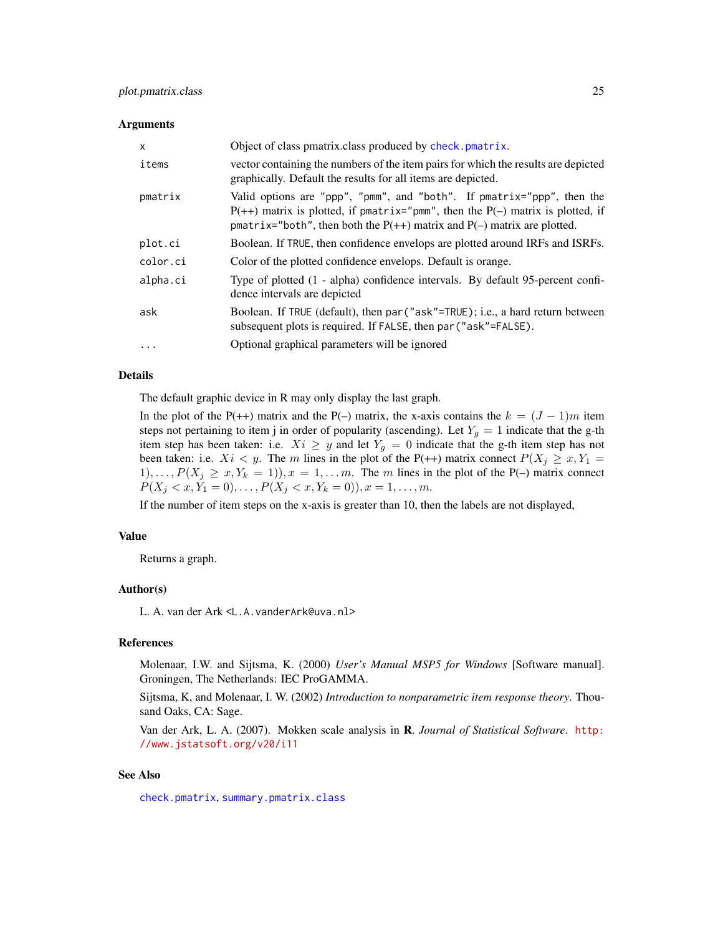#### <span id="page-24-0"></span>**Arguments**

| X        | Object of class pmatrix class produced by check. pmatrix.                                                                                                                                                                                   |  |  |  |  |
|----------|---------------------------------------------------------------------------------------------------------------------------------------------------------------------------------------------------------------------------------------------|--|--|--|--|
| items    | vector containing the numbers of the item pairs for which the results are depicted<br>graphically. Default the results for all items are depicted.                                                                                          |  |  |  |  |
| pmatrix  | Valid options are "ppp", "pmm", and "both". If pmatrix="ppp", then the<br>$P(++)$ matrix is plotted, if pmatrix="pmm", then the $P(-)$ matrix is plotted, if<br>pmatrix="both", then both the $P(++)$ matrix and $P(-)$ matrix are plotted. |  |  |  |  |
| plot.ci  | Boolean. If TRUE, then confidence envelops are plotted around IRFs and ISRFs.                                                                                                                                                               |  |  |  |  |
| color.ci | Color of the plotted confidence envelops. Default is orange.                                                                                                                                                                                |  |  |  |  |
| alpha.ci | Type of plotted (1 - alpha) confidence intervals. By default 95-percent confi-<br>dence intervals are depicted                                                                                                                              |  |  |  |  |
| ask      | Boolean. If TRUE (default), then par ("ask"=TRUE); i.e., a hard return between<br>subsequent plots is required. If FALSE, then par ("ask"=FALSE).                                                                                           |  |  |  |  |
| $\ddots$ | Optional graphical parameters will be ignored                                                                                                                                                                                               |  |  |  |  |

# Details

The default graphic device in R may only display the last graph.

In the plot of the P(++) matrix and the P(–) matrix, the x-axis contains the  $k = (J - 1)m$  item steps not pertaining to item j in order of popularity (ascending). Let  $Y_g = 1$  indicate that the g-th item step has been taken: i.e.  $Xi \geq y$  and let  $Y_g = 0$  indicate that the g-th item step has not been taken: i.e.  $Xi < y$ . The m lines in the plot of the P(++) matrix connect  $P(X_j \ge x, Y_1 =$  $1), \ldots, P(X_j \ge x, Y_k = 1), x = 1, \ldots m$ . The m lines in the plot of the P(–) matrix connect  $P(X_j < x, Y_1 = 0), \ldots, P(X_j < x, Y_k = 0), x = 1, \ldots, m.$ 

If the number of item steps on the x-axis is greater than 10, then the labels are not displayed,

#### Value

Returns a graph.

# Author(s)

L. A. van der Ark <L.A.vanderArk@uva.nl>

# References

Molenaar, I.W. and Sijtsma, K. (2000) *User's Manual MSP5 for Windows* [Software manual]. Groningen, The Netherlands: IEC ProGAMMA.

Sijtsma, K, and Molenaar, I. W. (2002) *Introduction to nonparametric item response theory*. Thousand Oaks, CA: Sage.

Van der Ark, L. A. (2007). Mokken scale analysis in R. *Journal of Statistical Software*. [http:](http://www.jstatsoft.org/v20/i11) [//www.jstatsoft.org/v20/i11](http://www.jstatsoft.org/v20/i11)

#### See Also

[check.pmatrix](#page-13-1), [summary.pmatrix.class](#page-29-1)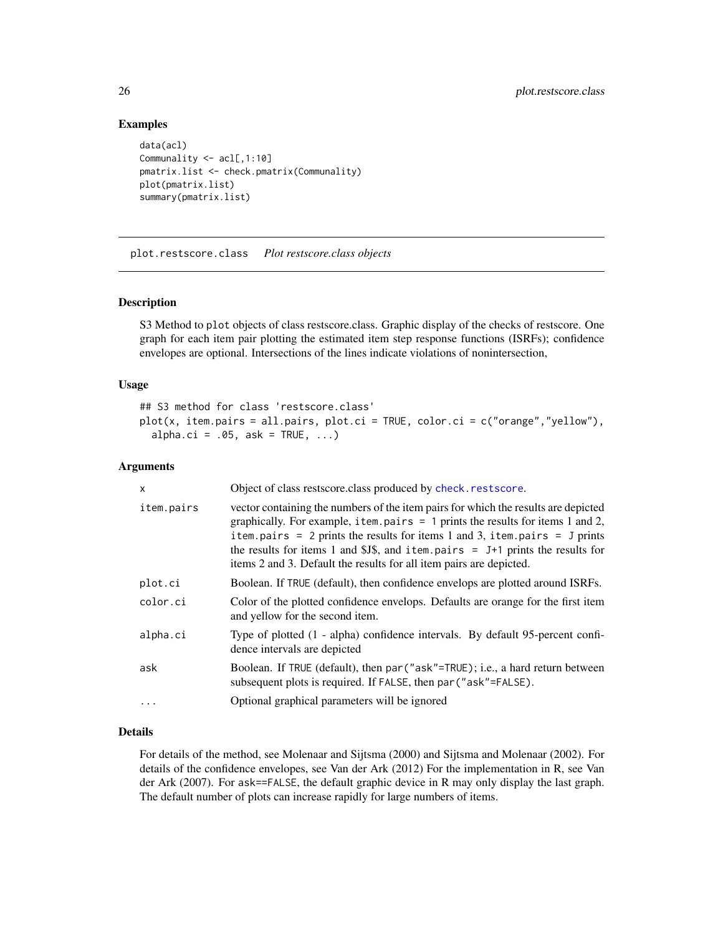# Examples

```
data(acl)
Communality <- acl[,1:10]
pmatrix.list <- check.pmatrix(Communality)
plot(pmatrix.list)
summary(pmatrix.list)
```
<span id="page-25-1"></span>plot.restscore.class *Plot restscore.class objects*

# Description

S3 Method to plot objects of class restscore.class. Graphic display of the checks of restscore. One graph for each item pair plotting the estimated item step response functions (ISRFs); confidence envelopes are optional. Intersections of the lines indicate violations of nonintersection,

# Usage

```
## S3 method for class 'restscore.class'
plot(x, item.pairs = all.pairs, plot.ci = TRUE, color.ci = c("orange","yellow"),
  alpha.ci = .05, ask = TRUE, \ldots)
```
#### Arguments

| x          | Object of class restscore.class produced by check.restscore.                                                                                                                                                                                                                                                                                                                                                         |  |  |  |  |
|------------|----------------------------------------------------------------------------------------------------------------------------------------------------------------------------------------------------------------------------------------------------------------------------------------------------------------------------------------------------------------------------------------------------------------------|--|--|--|--|
| item.pairs | vector containing the numbers of the item pairs for which the results are depicted<br>graphically. For example, item. pairs $= 1$ prints the results for items 1 and 2,<br>item.pairs = $2$ prints the results for items 1 and 3, item.pairs = $J$ prints<br>the results for items 1 and \$J\$, and item.pairs $=$ J+1 prints the results for<br>items 2 and 3. Default the results for all item pairs are depicted. |  |  |  |  |
| plot.ci    | Boolean. If TRUE (default), then confidence envelops are plotted around ISRFs.                                                                                                                                                                                                                                                                                                                                       |  |  |  |  |
| color.ci   | Color of the plotted confidence envelops. Defaults are orange for the first item<br>and yellow for the second item.                                                                                                                                                                                                                                                                                                  |  |  |  |  |
| alpha.ci   | Type of plotted (1 - alpha) confidence intervals. By default 95-percent confi-<br>dence intervals are depicted                                                                                                                                                                                                                                                                                                       |  |  |  |  |
| ask        | Boolean. If TRUE (default), then par ("ask"=TRUE); i.e., a hard return between<br>subsequent plots is required. If FALSE, then par ("ask"=FALSE).                                                                                                                                                                                                                                                                    |  |  |  |  |
|            | Optional graphical parameters will be ignored                                                                                                                                                                                                                                                                                                                                                                        |  |  |  |  |

#### Details

For details of the method, see Molenaar and Sijtsma (2000) and Sijtsma and Molenaar (2002). For details of the confidence envelopes, see Van der Ark (2012) For the implementation in R, see Van der Ark (2007). For ask==FALSE, the default graphic device in R may only display the last graph. The default number of plots can increase rapidly for large numbers of items.

<span id="page-25-0"></span>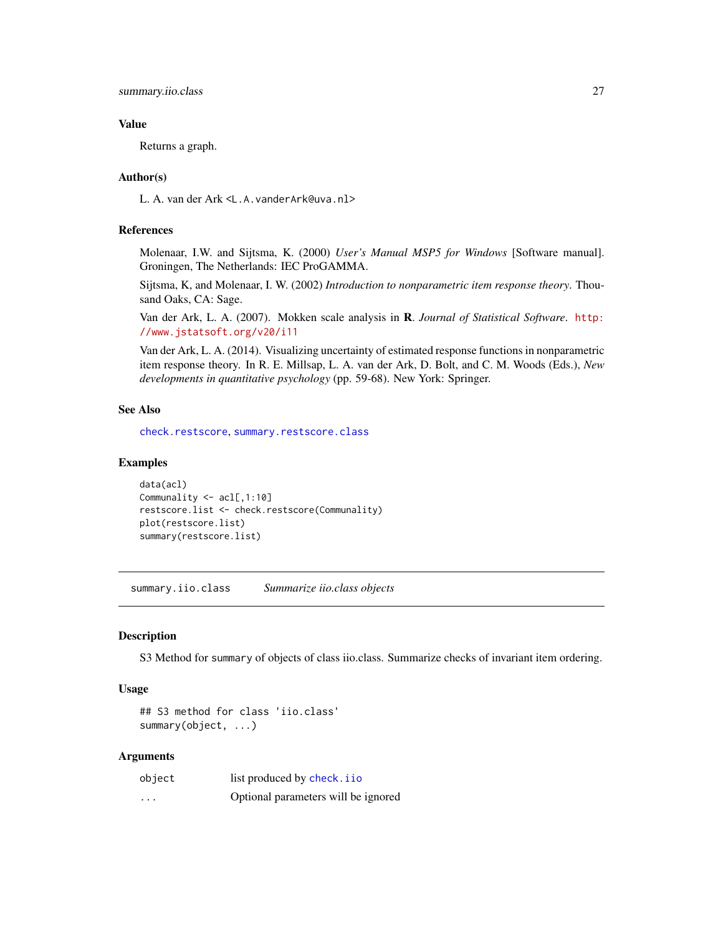# <span id="page-26-0"></span>Value

Returns a graph.

# Author(s)

L. A. van der Ark <L.A.vanderArk@uva.nl>

# References

Molenaar, I.W. and Sijtsma, K. (2000) *User's Manual MSP5 for Windows* [Software manual]. Groningen, The Netherlands: IEC ProGAMMA.

Sijtsma, K, and Molenaar, I. W. (2002) *Introduction to nonparametric item response theory*. Thousand Oaks, CA: Sage.

Van der Ark, L. A. (2007). Mokken scale analysis in R. *Journal of Statistical Software*. [http:](http://www.jstatsoft.org/v20/i11) [//www.jstatsoft.org/v20/i11](http://www.jstatsoft.org/v20/i11)

Van der Ark, L. A. (2014). Visualizing uncertainty of estimated response functions in nonparametric item response theory. In R. E. Millsap, L. A. van der Ark, D. Bolt, and C. M. Woods (Eds.), *New developments in quantitative psychology* (pp. 59-68). New York: Springer.

# See Also

[check.restscore](#page-16-1), [summary.restscore.class](#page-31-1)

#### Examples

```
data(acl)
Communality <- acl[,1:10]
restscore.list <- check.restscore(Communality)
plot(restscore.list)
summary(restscore.list)
```
<span id="page-26-1"></span>summary.iio.class *Summarize iio.class objects*

# Description

S3 Method for summary of objects of class iio.class. Summarize checks of invariant item ordering.

# Usage

```
## S3 method for class 'iio.class'
summary(object, ...)
```
#### Arguments

| object   | list produced by check. i io        |  |
|----------|-------------------------------------|--|
| $\cdots$ | Optional parameters will be ignored |  |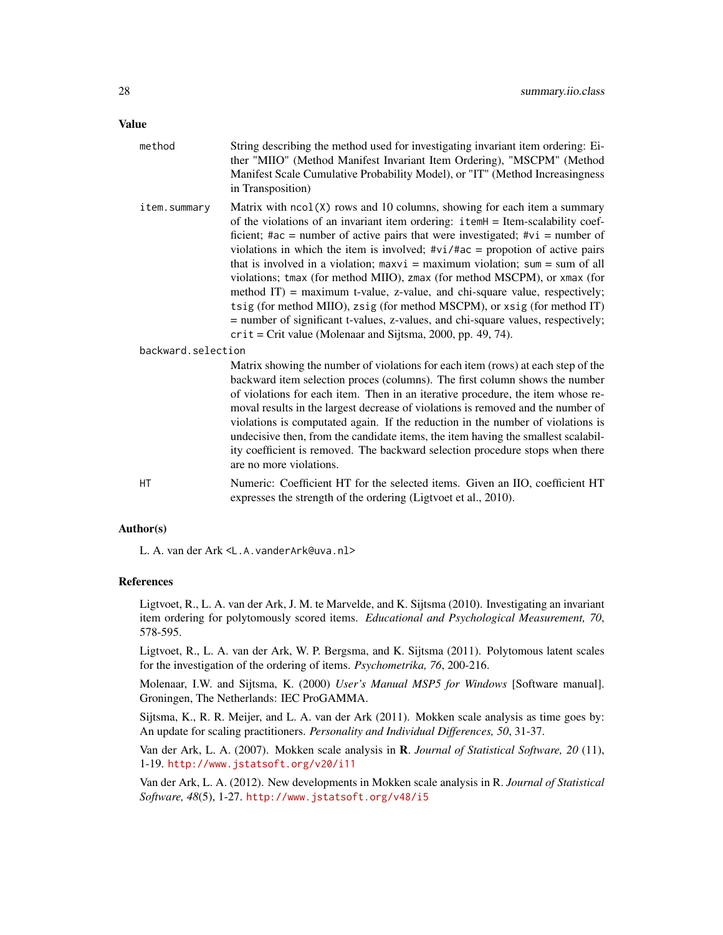# Value

| method             | String describing the method used for investigating invariant item ordering: Ei-<br>ther "MIIO" (Method Manifest Invariant Item Ordering), "MSCPM" (Method<br>Manifest Scale Cumulative Probability Model), or "IT" (Method Increasingness<br>in Transposition)                                                                                                                                                                                                                                                                                                                                                                                                                                                                                                                                                             |  |
|--------------------|-----------------------------------------------------------------------------------------------------------------------------------------------------------------------------------------------------------------------------------------------------------------------------------------------------------------------------------------------------------------------------------------------------------------------------------------------------------------------------------------------------------------------------------------------------------------------------------------------------------------------------------------------------------------------------------------------------------------------------------------------------------------------------------------------------------------------------|--|
| item.summary       | Matrix with ncol(X) rows and 10 columns, showing for each item a summary<br>of the violations of an invariant item ordering: itemH = Item-scalability coef-<br>ficient; #ac = number of active pairs that were investigated; # $vi$ = number of<br>violations in which the item is involved; $\#vi$ / $\#ac$ = propotion of active pairs<br>that is involved in a violation; $maxvi = maximum$ violation; $sum = sum$ of all<br>violations; tmax (for method MIIO), zmax (for method MSCPM), or xmax (for<br>method $IT$ ) = maximum t-value, z-value, and chi-square value, respectively;<br>tsig (for method MIIO), zsig (for method MSCPM), or xsig (for method IT)<br>= number of significant t-values, z-values, and chi-square values, respectively;<br>$crit = Crit$ value (Molenaar and Sijtsma, 2000, pp. 49, 74). |  |
| backward.selection |                                                                                                                                                                                                                                                                                                                                                                                                                                                                                                                                                                                                                                                                                                                                                                                                                             |  |
|                    | Matrix showing the number of violations for each item (rows) at each step of the<br>backward item selection proces (columns). The first column shows the number<br>of violations for each item. Then in an iterative procedure, the item whose re-<br>moval results in the largest decrease of violations is removed and the number of<br>violations is computated again. If the reduction in the number of violations is<br>undecisive then, from the candidate items, the item having the smallest scalabil-<br>ity coefficient is removed. The backward selection procedure stops when there<br>are no more violations.                                                                                                                                                                                                  |  |
| HT                 | Numeric: Coefficient HT for the selected items. Given an IIO, coefficient HT<br>expresses the strength of the ordering (Ligtvoet et al., 2010).                                                                                                                                                                                                                                                                                                                                                                                                                                                                                                                                                                                                                                                                             |  |

# Author(s)

L. A. van der Ark <L.A.vanderArk@uva.nl>

#### References

Ligtvoet, R., L. A. van der Ark, J. M. te Marvelde, and K. Sijtsma (2010). Investigating an invariant item ordering for polytomously scored items. *Educational and Psychological Measurement, 70*, 578-595.

Ligtvoet, R., L. A. van der Ark, W. P. Bergsma, and K. Sijtsma (2011). Polytomous latent scales for the investigation of the ordering of items. *Psychometrika, 76*, 200-216.

Molenaar, I.W. and Sijtsma, K. (2000) *User's Manual MSP5 for Windows* [Software manual]. Groningen, The Netherlands: IEC ProGAMMA.

Sijtsma, K., R. R. Meijer, and L. A. van der Ark (2011). Mokken scale analysis as time goes by: An update for scaling practitioners. *Personality and Individual Differences, 50*, 31-37.

Van der Ark, L. A. (2007). Mokken scale analysis in R. *Journal of Statistical Software, 20* (11), 1-19. <http://www.jstatsoft.org/v20/i11>

Van der Ark, L. A. (2012). New developments in Mokken scale analysis in R. *Journal of Statistical Software, 48*(5), 1-27. <http://www.jstatsoft.org/v48/i5>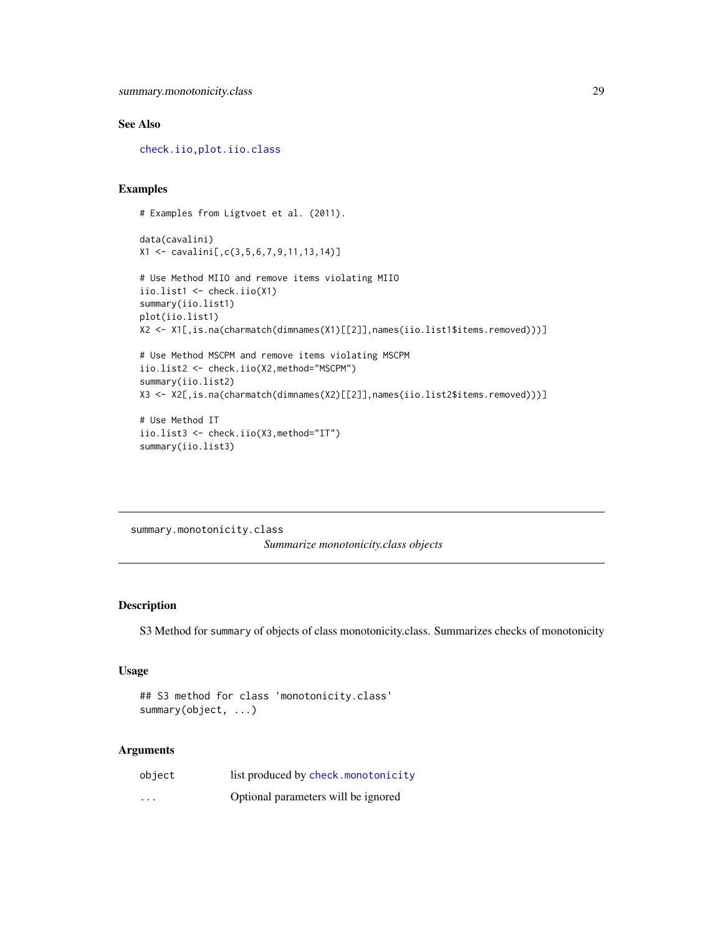# <span id="page-28-0"></span>See Also

[check.iio](#page-9-1)[,plot.iio.class](#page-20-1)

# Examples

```
# Examples from Ligtvoet et al. (2011).
data(cavalini)
X1 <- cavalini[,c(3,5,6,7,9,11,13,14)]
# Use Method MIIO and remove items violating MIIO
iio.list1 <- check.iio(X1)
summary(iio.list1)
plot(iio.list1)
X2 <- X1[,is.na(charmatch(dimnames(X1)[[2]],names(iio.list1$items.removed)))]
# Use Method MSCPM and remove items violating MSCPM
iio.list2 <- check.iio(X2,method="MSCPM")
summary(iio.list2)
X3 <- X2[,is.na(charmatch(dimnames(X2)[[2]],names(iio.list2$items.removed)))]
# Use Method IT
iio.list3 <- check.iio(X3,method="IT")
summary(iio.list3)
```
<span id="page-28-1"></span>summary.monotonicity.class *Summarize monotonicity.class objects*

# Description

S3 Method for summary of objects of class monotonicity.class. Summarizes checks of monotonicity

# Usage

## S3 method for class 'monotonicity.class' summary(object, ...)

# Arguments

| object                  | list produced by check.monotonicity |
|-------------------------|-------------------------------------|
| $\cdot$ $\cdot$ $\cdot$ | Optional parameters will be ignored |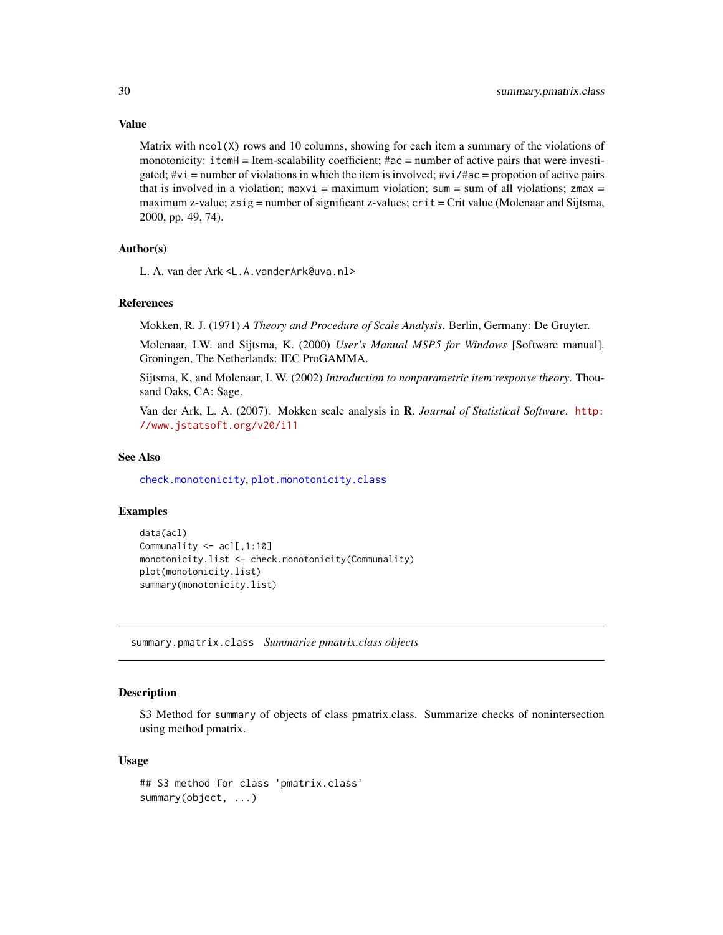#### Value

Matrix with  $ncol(X)$  rows and 10 columns, showing for each item a summary of the violations of monotonicity: itemH = Item-scalability coefficient; #ac = number of active pairs that were investigated;  $\#vi$  = number of violations in which the item is involved;  $\#vi$  / $\#ac$  = propotion of active pairs that is involved in a violation; maxvi = maximum violation; sum = sum of all violations; zmax = maximum z-value;  $z \sin s =$  number of significant z-values;  $\text{crit} = \text{Crit}$  value (Molenaar and Sijtsma, 2000, pp. 49, 74).

#### Author(s)

L. A. van der Ark <L.A.vanderArk@uva.nl>

#### References

Mokken, R. J. (1971) *A Theory and Procedure of Scale Analysis*. Berlin, Germany: De Gruyter.

Molenaar, I.W. and Sijtsma, K. (2000) *User's Manual MSP5 for Windows* [Software manual]. Groningen, The Netherlands: IEC ProGAMMA.

Sijtsma, K, and Molenaar, I. W. (2002) *Introduction to nonparametric item response theory*. Thousand Oaks, CA: Sage.

Van der Ark, L. A. (2007). Mokken scale analysis in R. *Journal of Statistical Software*. [http:](http://www.jstatsoft.org/v20/i11) [//www.jstatsoft.org/v20/i11](http://www.jstatsoft.org/v20/i11)

#### See Also

[check.monotonicity](#page-11-1), [plot.monotonicity.class](#page-22-1)

# Examples

```
data(acl)
Communality <- acl[,1:10]
monotonicity.list <- check.monotonicity(Communality)
plot(monotonicity.list)
summary(monotonicity.list)
```
<span id="page-29-1"></span>summary.pmatrix.class *Summarize pmatrix.class objects*

# **Description**

S3 Method for summary of objects of class pmatrix.class. Summarize checks of nonintersection using method pmatrix.

### Usage

```
## S3 method for class 'pmatrix.class'
summary(object, ...)
```
<span id="page-29-0"></span>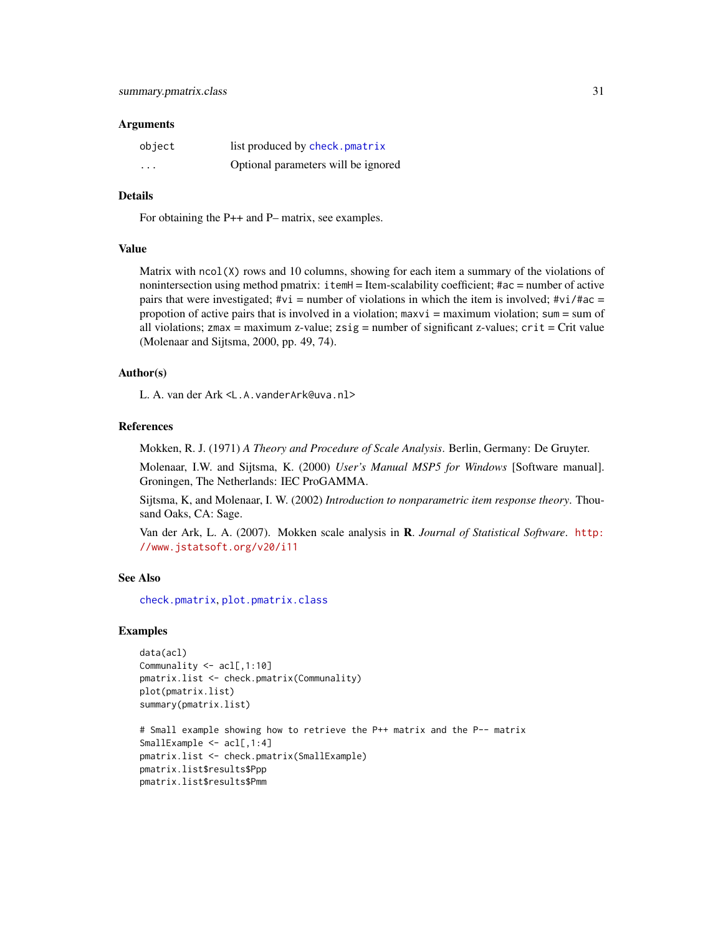#### <span id="page-30-0"></span>**Arguments**

| object   | list produced by check.pmatrix      |
|----------|-------------------------------------|
| $\cdots$ | Optional parameters will be ignored |

#### Details

For obtaining the P++ and P– matrix, see examples.

#### Value

Matrix with ncol(X) rows and 10 columns, showing for each item a summary of the violations of nonintersection using method pmatrix: itemH = Item-scalability coefficient; #ac = number of active pairs that were investigated;  $\#\nu i$  = number of violations in which the item is involved;  $\#\nu i$ / $\#\alpha$  = propotion of active pairs that is involved in a violation;  $maxvi = maximum$  violation;  $sum = sum of$ all violations; zmax = maximum z-value;  $zsig$  = number of significant z-values;  $crit = Crit$  value (Molenaar and Sijtsma, 2000, pp. 49, 74).

#### Author(s)

L. A. van der Ark <L.A.vanderArk@uva.nl>

# References

Mokken, R. J. (1971) *A Theory and Procedure of Scale Analysis*. Berlin, Germany: De Gruyter.

Molenaar, I.W. and Sijtsma, K. (2000) *User's Manual MSP5 for Windows* [Software manual]. Groningen, The Netherlands: IEC ProGAMMA.

Sijtsma, K, and Molenaar, I. W. (2002) *Introduction to nonparametric item response theory*. Thousand Oaks, CA: Sage.

Van der Ark, L. A. (2007). Mokken scale analysis in R. *Journal of Statistical Software*. [http:](http://www.jstatsoft.org/v20/i11) [//www.jstatsoft.org/v20/i11](http://www.jstatsoft.org/v20/i11)

# See Also

[check.pmatrix](#page-13-1), [plot.pmatrix.class](#page-23-1)

# Examples

```
data(acl)
Communality <- acl[,1:10]
pmatrix.list <- check.pmatrix(Communality)
plot(pmatrix.list)
summary(pmatrix.list)
```

```
# Small example showing how to retrieve the P++ matrix and the P-- matrix
SmallExample <- acl[,1:4]
pmatrix.list <- check.pmatrix(SmallExample)
pmatrix.list$results$Ppp
pmatrix.list$results$Pmm
```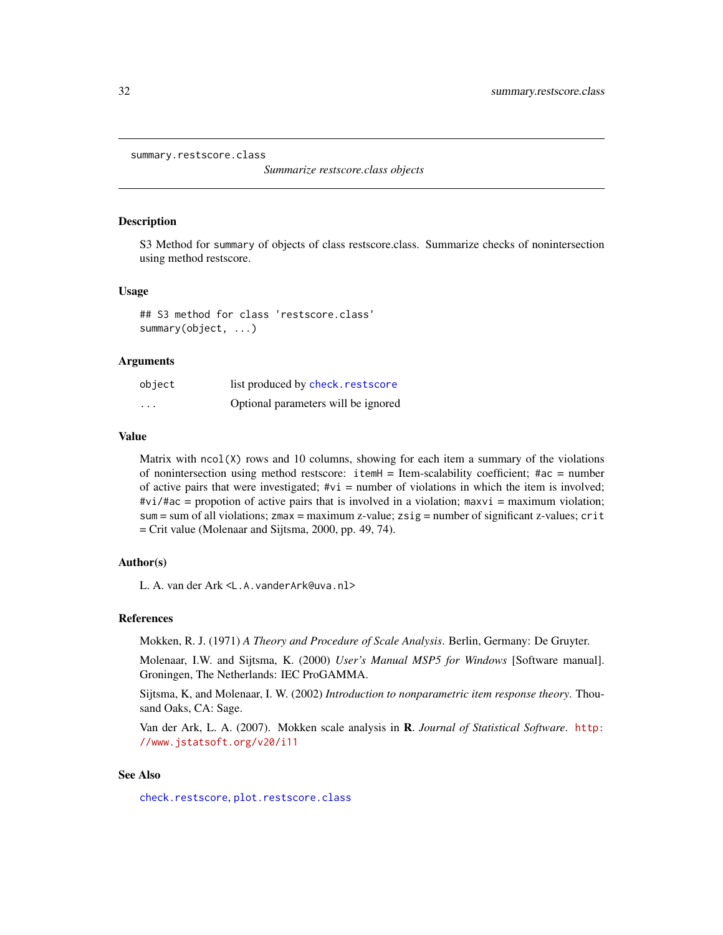```
summary.restscore.class
```
*Summarize restscore.class objects*

#### Description

S3 Method for summary of objects of class restscore.class. Summarize checks of nonintersection using method restscore.

#### Usage

## S3 method for class 'restscore.class' summary(object, ...)

# Arguments

| object   | list produced by check. restscore   |
|----------|-------------------------------------|
| $\cdots$ | Optional parameters will be ignored |

#### Value

Matrix with  $ncol(X)$  rows and 10 columns, showing for each item a summary of the violations of nonintersection using method restscore: itemH = Item-scalability coefficient; #ac = number of active pairs that were investigated;  $\#vi =$  number of violations in which the item is involved;  $\#vi/\#ac$  = propotion of active pairs that is involved in a violation; maxvi = maximum violation; sum = sum of all violations; zmax = maximum z-value; zsig = number of significant z-values; crit = Crit value (Molenaar and Sijtsma, 2000, pp. 49, 74).

# Author(s)

L. A. van der Ark <L.A.vanderArk@uva.nl>

# References

Mokken, R. J. (1971) *A Theory and Procedure of Scale Analysis*. Berlin, Germany: De Gruyter.

Molenaar, I.W. and Sijtsma, K. (2000) *User's Manual MSP5 for Windows* [Software manual]. Groningen, The Netherlands: IEC ProGAMMA.

Sijtsma, K, and Molenaar, I. W. (2002) *Introduction to nonparametric item response theory*. Thousand Oaks, CA: Sage.

Van der Ark, L. A. (2007). Mokken scale analysis in R. *Journal of Statistical Software*. [http:](http://www.jstatsoft.org/v20/i11) [//www.jstatsoft.org/v20/i11](http://www.jstatsoft.org/v20/i11)

# See Also

[check.restscore](#page-16-1), [plot.restscore.class](#page-25-1)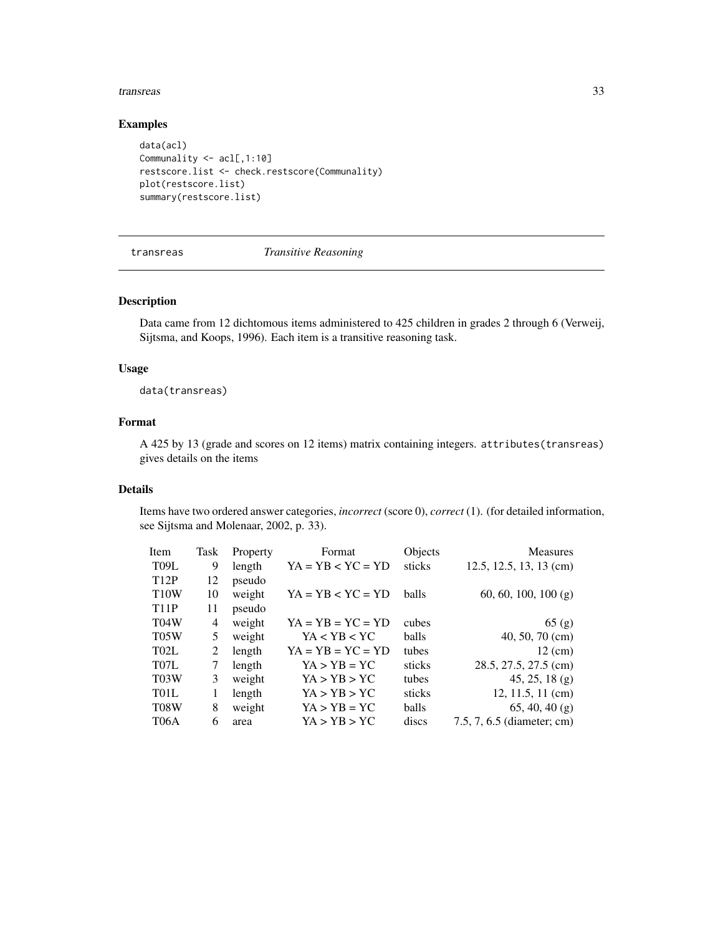#### <span id="page-32-0"></span>transreas 33

# Examples

```
data(acl)
Communality <- acl[,1:10]
restscore.list <- check.restscore(Communality)
plot(restscore.list)
summary(restscore.list)
```
# <span id="page-32-1"></span>transreas *Transitive Reasoning*

# Description

Data came from 12 dichtomous items administered to 425 children in grades 2 through 6 (Verweij, Sijtsma, and Koops, 1996). Each item is a transitive reasoning task.

# Usage

data(transreas)

# Format

A 425 by 13 (grade and scores on 12 items) matrix containing integers. attributes(transreas) gives details on the items

#### Details

Items have two ordered answer categories, *incorrect* (score 0), *correct* (1). (for detailed information, see Sijtsma and Molenaar, 2002, p. 33).

| Task | Property | Format              | Objects      | <b>Measures</b>            |
|------|----------|---------------------|--------------|----------------------------|
| 9    | length   | $YA = YB < YC = YD$ | sticks       | 12.5, 12.5, 13, 13 (cm)    |
| 12   | pseudo   |                     |              |                            |
| 10   | weight   | $YA = YB < YC = YD$ | balls        | 60, 60, 100, 100 (g)       |
| 11   | pseudo   |                     |              |                            |
| 4    | weight   | $YA = YB = YC = YD$ | cubes        | 65(g)                      |
| 5    | weight   | YA < YB < YC        | <b>balls</b> | $40, 50, 70$ (cm)          |
| 2    | length   | $YA = YB = YC = YD$ | tubes        | $12 \text{ (cm)}$          |
| 7    | length   | $YA > YB = YC$      | sticks       | 28.5, 27.5, 27.5 (cm)      |
| 3    | weight   | YA > YB > YC        | tubes        | $45, 25, 18$ (g)           |
|      | length   | YA > YB > YC        | sticks       | $12, 11.5, 11$ (cm)        |
| 8    | weight   | $YA > YB = YC$      | balls        | $65, 40, 40$ (g)           |
| 6    | area     | YA > YB > YC        | discs        | 7.5, 7, 6.5 (diameter; cm) |
|      |          |                     |              |                            |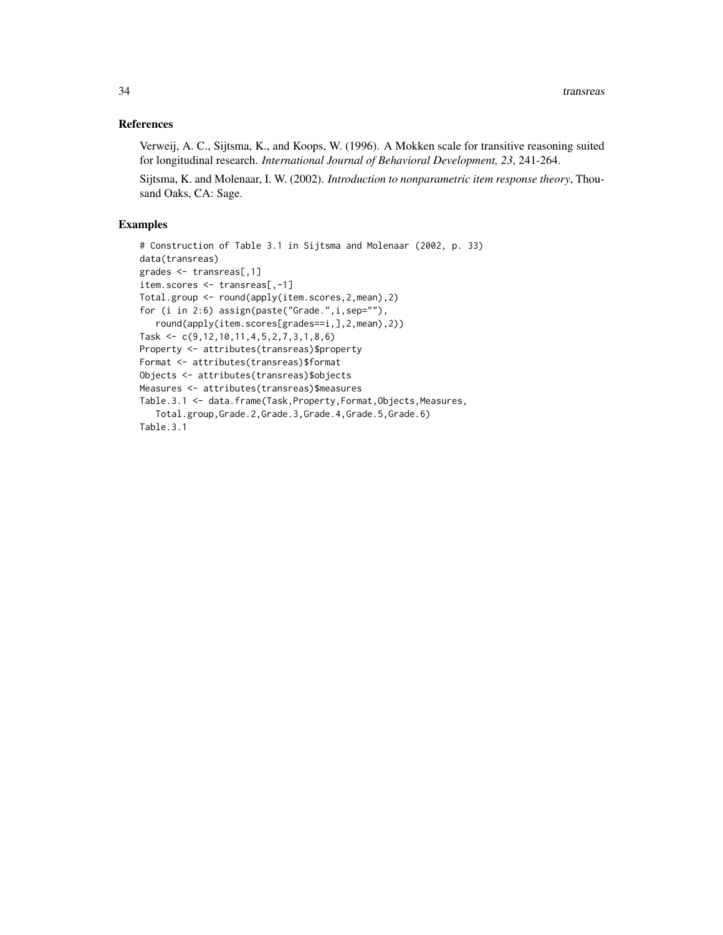# References

Verweij, A. C., Sijtsma, K., and Koops, W. (1996). A Mokken scale for transitive reasoning suited for longitudinal research. *International Journal of Behavioral Development, 23*, 241-264.

Sijtsma, K. and Molenaar, I. W. (2002). *Introduction to nonparametric item response theory*, Thousand Oaks, CA: Sage.

# Examples

```
# Construction of Table 3.1 in Sijtsma and Molenaar (2002, p. 33)
data(transreas)
grades <- transreas[,1]
item.scores <- transreas[,-1]
Total.group <- round(apply(item.scores,2,mean),2)
for (i in 2:6) assign(paste("Grade.",i,sep=""),
   round(apply(item.scores[grades==i,],2,mean),2))
Task <- c(9,12,10,11,4,5,2,7,3,1,8,6)
Property <- attributes(transreas)$property
Format <- attributes(transreas)$format
Objects <- attributes(transreas)$objects
Measures <- attributes(transreas)$measures
Table.3.1 <- data.frame(Task,Property,Format,Objects,Measures,
   Total.group,Grade.2,Grade.3,Grade.4,Grade.5,Grade.6)
Table.3.1
```